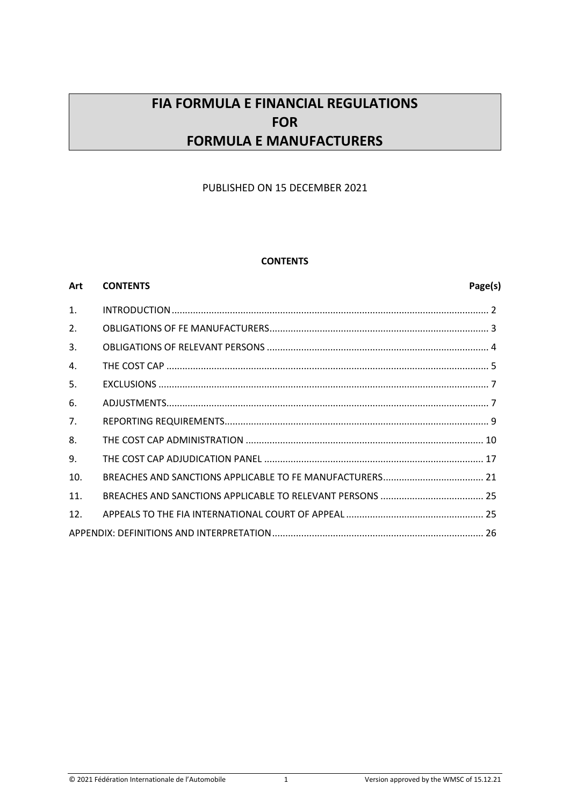# **FIA FORMULA E FINANCIAL REGULATIONS FOR FORMULA E MANUFACTURERS**

PUBLISHED ON 15 DECEMBER 2021

#### **CONTENTS**

# **Art CONTENTS Page(s)** 1. [INTRODUCTION........................................................................................................................](#page-1-0) 2 2. [OBLIGATIONS OF FE MANUFACTURERS...................................................................................](#page-2-0) 3 3. OBLIGATIONS OF RELEVANT PERSONS [....................................................................................](#page-3-0) 4 4. THE COST CAP [..........................................................................................................................](#page-4-0) 5 5. EXCLUSIONS [.............................................................................................................................](#page-6-0) 7 6. [ADJUSTMENTS..........................................................................................................................](#page-6-1) 7 7. [REPORTING REQUIREMENTS....................................................................................................](#page-8-0) 9 8. THE COST CAP ADMINISTRATION [..........................................................................................](#page-9-0) 10 9. THE COST CAP ADJUDICATION PANEL [...................................................................................](#page-16-0) 17 10. [BREACHES AND SANCTIONS APPLICABLE TO FE MANUFACTURERS......................................](#page-20-0) 21 11. [BREACHES AND SANCTIONS APPLICABLE TO RELEVANT PERSONS](#page-24-0) ....................................... 25 12. [APPEALS TO THE FIA INTERNATIONAL COURT OF APPEAL](#page-24-1) .................................................... 25 [APPENDIX: DEFINITIONS AND INTERPRETATION................................................................................](#page-25-0) 26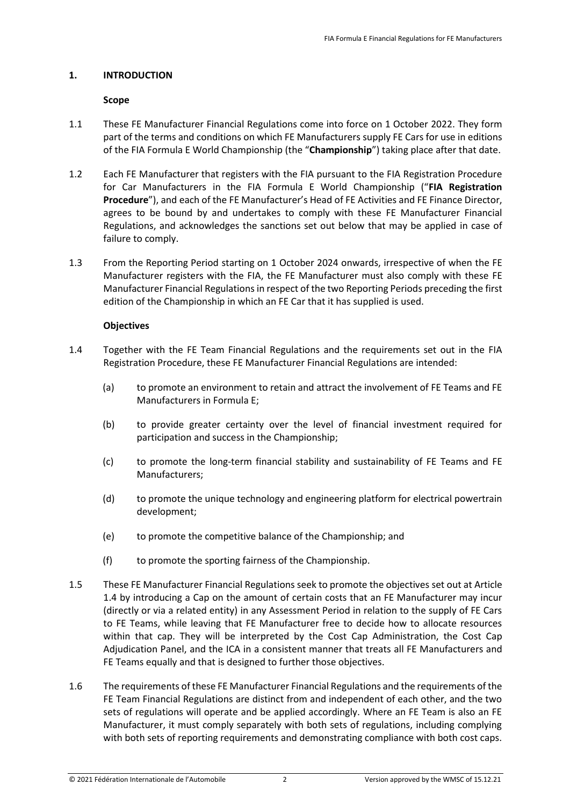## <span id="page-1-0"></span>**1. INTRODUCTION**

## **Scope**

- 1.1 These FE Manufacturer Financial Regulations come into force on 1 October 2022. They form part of the terms and conditions on which FE Manufacturers supply FE Cars for use in editions of the FIA Formula E World Championship (the "**Championship**") taking place after that date.
- 1.2 Each FE Manufacturer that registers with the FIA pursuant to the FIA Registration Procedure for Car Manufacturers in the FIA Formula E World Championship ("**FIA Registration Procedure**"), and each of the FE Manufacturer's Head of FE Activities and FE Finance Director, agrees to be bound by and undertakes to comply with these FE Manufacturer Financial Regulations, and acknowledges the sanctions set out below that may be applied in case of failure to comply.
- 1.3 From the Reporting Period starting on 1 October 2024 onwards, irrespective of when the FE Manufacturer registers with the FIA, the FE Manufacturer must also comply with these FE Manufacturer Financial Regulations in respect of the two Reporting Periods preceding the first edition of the Championship in which an FE Car that it has supplied is used.

# **Objectives**

- 1.4 Together with the FE Team Financial Regulations and the requirements set out in the FIA Registration Procedure, these FE Manufacturer Financial Regulations are intended:
	- (a) to promote an environment to retain and attract the involvement of FE Teams and FE Manufacturers in Formula E;
	- (b) to provide greater certainty over the level of financial investment required for participation and success in the Championship;
	- (c) to promote the long-term financial stability and sustainability of FE Teams and FE Manufacturers;
	- (d) to promote the unique technology and engineering platform for electrical powertrain development;
	- (e) to promote the competitive balance of the Championship; and
	- (f) to promote the sporting fairness of the Championship.
- 1.5 These FE Manufacturer Financial Regulations seek to promote the objectives set out at Article 1.4 by introducing a Cap on the amount of certain costs that an FE Manufacturer may incur (directly or via a related entity) in any Assessment Period in relation to the supply of FE Cars to FE Teams, while leaving that FE Manufacturer free to decide how to allocate resources within that cap. They will be interpreted by the Cost Cap Administration, the Cost Cap Adjudication Panel, and the ICA in a consistent manner that treats all FE Manufacturers and FE Teams equally and that is designed to further those objectives.
- 1.6 The requirements of these FE Manufacturer Financial Regulations and the requirements of the FE Team Financial Regulations are distinct from and independent of each other, and the two sets of regulations will operate and be applied accordingly. Where an FE Team is also an FE Manufacturer, it must comply separately with both sets of regulations, including complying with both sets of reporting requirements and demonstrating compliance with both cost caps.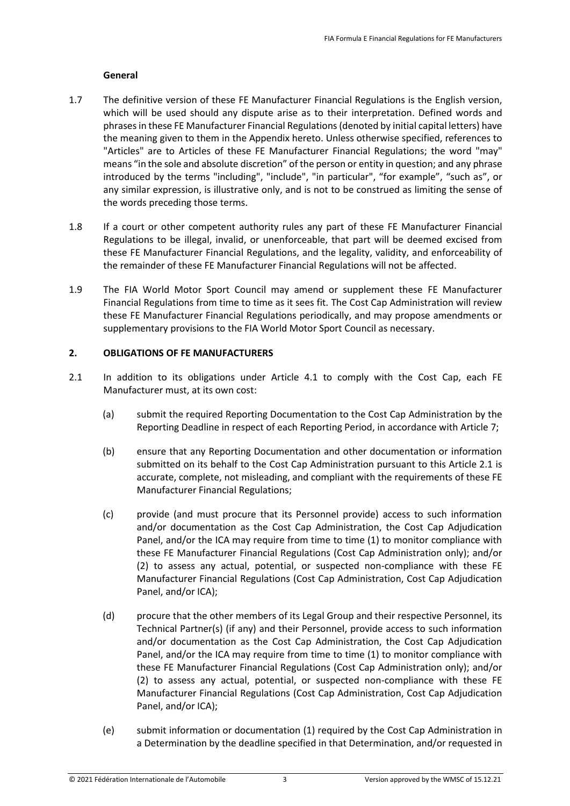## **General**

- 1.7 The definitive version of these FE Manufacturer Financial Regulations is the English version, which will be used should any dispute arise as to their interpretation. Defined words and phrases in these FE Manufacturer Financial Regulations(denoted by initial capital letters) have the meaning given to them in the Appendix hereto. Unless otherwise specified, references to "Articles" are to Articles of these FE Manufacturer Financial Regulations; the word "may" means "in the sole and absolute discretion" of the person or entity in question; and any phrase introduced by the terms "including", "include", "in particular", "for example", "such as", or any similar expression, is illustrative only, and is not to be construed as limiting the sense of the words preceding those terms.
- 1.8 If a court or other competent authority rules any part of these FE Manufacturer Financial Regulations to be illegal, invalid, or unenforceable, that part will be deemed excised from these FE Manufacturer Financial Regulations, and the legality, validity, and enforceability of the remainder of these FE Manufacturer Financial Regulations will not be affected.
- 1.9 The FIA World Motor Sport Council may amend or supplement these FE Manufacturer Financial Regulations from time to time as it sees fit. The Cost Cap Administration will review these FE Manufacturer Financial Regulations periodically, and may propose amendments or supplementary provisions to the FIA World Motor Sport Council as necessary.

## <span id="page-2-0"></span>**2. OBLIGATIONS OF FE MANUFACTURERS**

- 2.1 In addition to its obligations under Article 4.1 to comply with the Cost Cap, each FE Manufacturer must, at its own cost:
	- (a) submit the required Reporting Documentation to the Cost Cap Administration by the Reporting Deadline in respect of each Reporting Period, in accordance with Article 7;
	- (b) ensure that any Reporting Documentation and other documentation or information submitted on its behalf to the Cost Cap Administration pursuant to this Article 2.1 is accurate, complete, not misleading, and compliant with the requirements of these FE Manufacturer Financial Regulations;
	- (c) provide (and must procure that its Personnel provide) access to such information and/or documentation as the Cost Cap Administration, the Cost Cap Adjudication Panel, and/or the ICA may require from time to time (1) to monitor compliance with these FE Manufacturer Financial Regulations (Cost Cap Administration only); and/or (2) to assess any actual, potential, or suspected non-compliance with these FE Manufacturer Financial Regulations (Cost Cap Administration, Cost Cap Adjudication Panel, and/or ICA);
	- (d) procure that the other members of its Legal Group and their respective Personnel, its Technical Partner(s) (if any) and their Personnel, provide access to such information and/or documentation as the Cost Cap Administration, the Cost Cap Adjudication Panel, and/or the ICA may require from time to time (1) to monitor compliance with these FE Manufacturer Financial Regulations (Cost Cap Administration only); and/or (2) to assess any actual, potential, or suspected non-compliance with these FE Manufacturer Financial Regulations (Cost Cap Administration, Cost Cap Adjudication Panel, and/or ICA);
	- (e) submit information or documentation (1) required by the Cost Cap Administration in a Determination by the deadline specified in that Determination, and/or requested in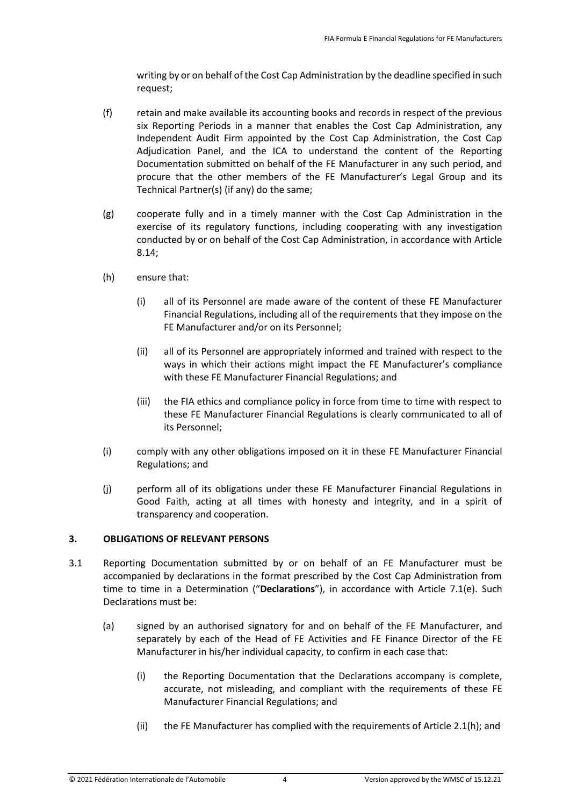writing by or on behalf of the Cost Cap Administration by the deadline specified in such request;

- (f) retain and make available its accounting books and records in respect of the previous six Reporting Periods in a manner that enables the Cost Cap Administration, any Independent Audit Firm appointed by the Cost Cap Administration, the Cost Cap Adjudication Panel, and the ICA to understand the content of the Reporting Documentation submitted on behalf of the FE Manufacturer in any such period, and procure that the other members of the FE Manufacturer's Legal Group and its Technical Partner(s) (if any) do the same;
- (g) cooperate fully and in a timely manner with the Cost Cap Administration in the exercise of its regulatory functions, including cooperating with any investigation conducted by or on behalf of the Cost Cap Administration, in accordance with Article [8.14;](#page-11-0)
- (h) ensure that:
	- (i) all of its Personnel are made aware of the content of these FE Manufacturer Financial Regulations, including all of the requirements that they impose on the FE Manufacturer and/or on its Personnel;
	- (ii) all of its Personnel are appropriately informed and trained with respect to the ways in which their actions might impact the FE Manufacturer's compliance with these FE Manufacturer Financial Regulations; and
	- (iii) the FIA ethics and compliance policy in force from time to time with respect to these FE Manufacturer Financial Regulations is clearly communicated to all of its Personnel;
- (i) comply with any other obligations imposed on it in these FE Manufacturer Financial Regulations; and
- (j) perform all of its obligations under these FE Manufacturer Financial Regulations in Good Faith, acting at all times with honesty and integrity, and in a spirit of transparency and cooperation.

# <span id="page-3-0"></span>**3. OBLIGATIONS OF RELEVANT PERSONS**

- 3.1 Reporting Documentation submitted by or on behalf of an FE Manufacturer must be accompanied by declarations in the format prescribed by the Cost Cap Administration from time to time in a Determination ("**Declarations**"), in accordance with Article 7.1(e). Such Declarations must be:
	- (a) signed by an authorised signatory for and on behalf of the FE Manufacturer, and separately by each of the Head of FE Activities and FE Finance Director of the FE Manufacturer in his/her individual capacity, to confirm in each case that:
		- (i) the Reporting Documentation that the Declarations accompany is complete, accurate, not misleading, and compliant with the requirements of these FE Manufacturer Financial Regulations; and
		- (ii) the FE Manufacturer has complied with the requirements of Article 2.1(h); and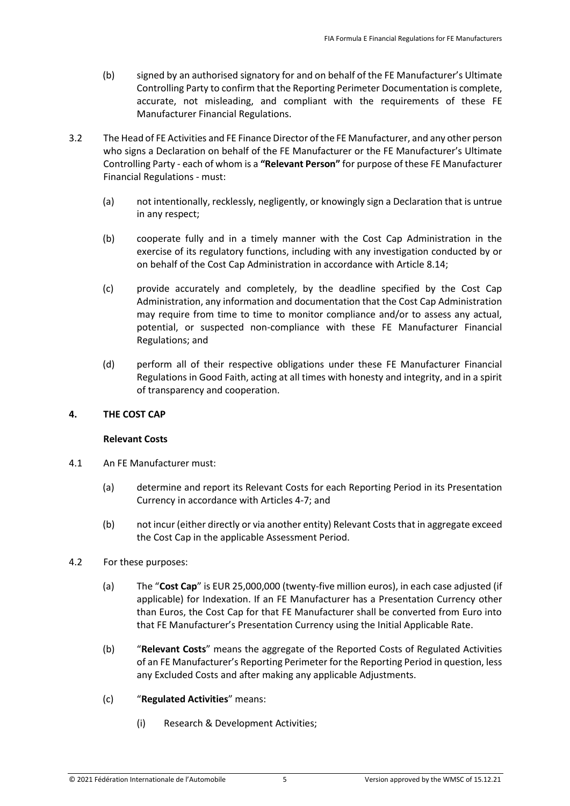- (b) signed by an authorised signatory for and on behalf of the FE Manufacturer's Ultimate Controlling Party to confirm that the Reporting Perimeter Documentation is complete, accurate, not misleading, and compliant with the requirements of these FE Manufacturer Financial Regulations.
- 3.2 The Head of FE Activities and FE Finance Director of the FE Manufacturer, and any other person who signs a Declaration on behalf of the FE Manufacturer or the FE Manufacturer's Ultimate Controlling Party - each of whom is a **"Relevant Person"** for purpose of these FE Manufacturer Financial Regulations - must:
	- (a) not intentionally, recklessly, negligently, or knowingly sign a Declaration that is untrue in any respect;
	- (b) cooperate fully and in a timely manner with the Cost Cap Administration in the exercise of its regulatory functions, including with any investigation conducted by or on behalf of the Cost Cap Administration in accordance with Articl[e 8.14;](#page-11-0)
	- (c) provide accurately and completely, by the deadline specified by the Cost Cap Administration, any information and documentation that the Cost Cap Administration may require from time to time to monitor compliance and/or to assess any actual, potential, or suspected non-compliance with these FE Manufacturer Financial Regulations; and
	- (d) perform all of their respective obligations under these FE Manufacturer Financial Regulations in Good Faith, acting at all times with honesty and integrity, and in a spirit of transparency and cooperation.

# <span id="page-4-0"></span>**4. THE COST CAP**

## **Relevant Costs**

- 4.1 An FE Manufacturer must:
	- (a) determine and report its Relevant Costs for each Reporting Period in its Presentation Currency in accordance with Articles 4-7; and
	- (b) not incur (either directly or via another entity) Relevant Costs that in aggregate exceed the Cost Cap in the applicable Assessment Period.
- 4.2 For these purposes:
	- (a) The "**Cost Cap**" is EUR 25,000,000 (twenty-five million euros), in each case adjusted (if applicable) for Indexation. If an FE Manufacturer has a Presentation Currency other than Euros, the Cost Cap for that FE Manufacturer shall be converted from Euro into that FE Manufacturer's Presentation Currency using the Initial Applicable Rate.
	- (b) "**Relevant Costs**" means the aggregate of the Reported Costs of Regulated Activities of an FE Manufacturer's Reporting Perimeter for the Reporting Period in question, less any Excluded Costs and after making any applicable Adjustments.
	- (c) "**Regulated Activities**" means:
		- (i) Research & Development Activities;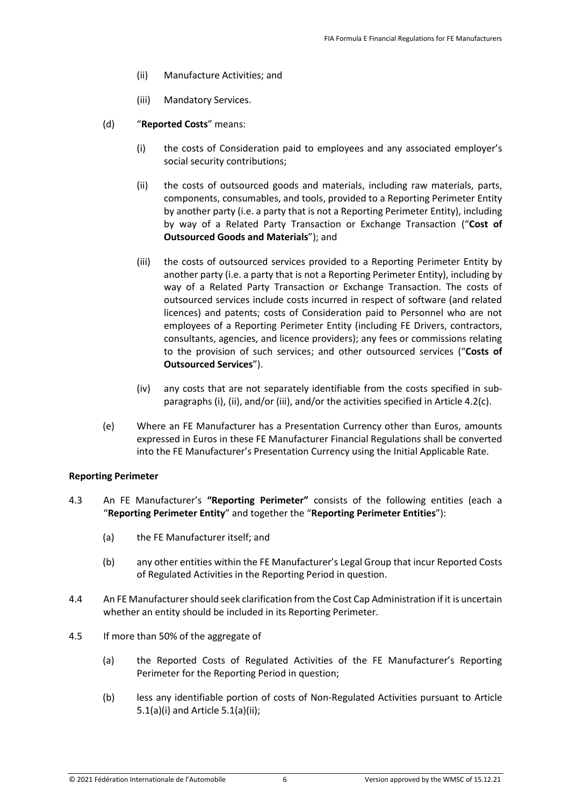- (ii) Manufacture Activities; and
- (iii) Mandatory Services.
- (d) "**Reported Costs**" means:
	- (i) the costs of Consideration paid to employees and any associated employer's social security contributions;
	- (ii) the costs of outsourced goods and materials, including raw materials, parts, components, consumables, and tools, provided to a Reporting Perimeter Entity by another party (i.e. a party that is not a Reporting Perimeter Entity), including by way of a Related Party Transaction or Exchange Transaction ("**Cost of Outsourced Goods and Materials**"); and
	- (iii) the costs of outsourced services provided to a Reporting Perimeter Entity by another party (i.e. a party that is not a Reporting Perimeter Entity), including by way of a Related Party Transaction or Exchange Transaction. The costs of outsourced services include costs incurred in respect of software (and related licences) and patents; costs of Consideration paid to Personnel who are not employees of a Reporting Perimeter Entity (including FE Drivers, contractors, consultants, agencies, and licence providers); any fees or commissions relating to the provision of such services; and other outsourced services ("**Costs of Outsourced Services**").
	- (iv) any costs that are not separately identifiable from the costs specified in subparagraphs (i), (ii), and/or (iii), and/or the activities specified in Article 4.2(c).
- (e) Where an FE Manufacturer has a Presentation Currency other than Euros, amounts expressed in Euros in these FE Manufacturer Financial Regulations shall be converted into the FE Manufacturer's Presentation Currency using the Initial Applicable Rate.

## **Reporting Perimeter**

- 4.3 An FE Manufacturer's **"Reporting Perimeter"** consists of the following entities (each a "**Reporting Perimeter Entity**" and together the "**Reporting Perimeter Entities**"):
	- (a) the FE Manufacturer itself; and
	- (b) any other entities within the FE Manufacturer's Legal Group that incur Reported Costs of Regulated Activities in the Reporting Period in question.
- 4.4 An FE Manufacturer should seek clarification from the Cost Cap Administration if it is uncertain whether an entity should be included in its Reporting Perimeter.
- 4.5 If more than 50% of the aggregate of
	- (a) the Reported Costs of Regulated Activities of the FE Manufacturer's Reporting Perimeter for the Reporting Period in question;
	- (b) less any identifiable portion of costs of Non-Regulated Activities pursuant to Article 5.1(a)(i) and Article 5.1(a)(ii);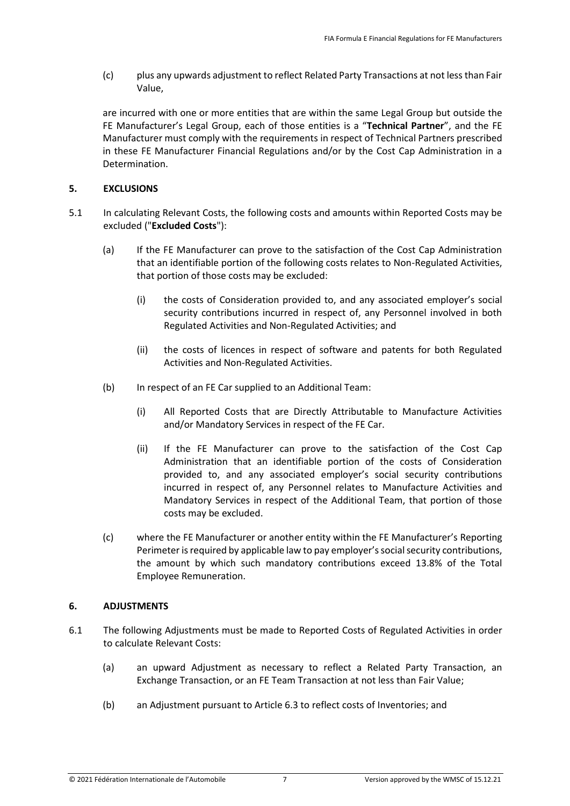(c) plus any upwards adjustment to reflect Related Party Transactions at not less than Fair Value,

are incurred with one or more entities that are within the same Legal Group but outside the FE Manufacturer's Legal Group, each of those entities is a "**Technical Partner**", and the FE Manufacturer must comply with the requirements in respect of Technical Partners prescribed in these FE Manufacturer Financial Regulations and/or by the Cost Cap Administration in a Determination.

## <span id="page-6-0"></span>**5. EXCLUSIONS**

- 5.1 In calculating Relevant Costs, the following costs and amounts within Reported Costs may be excluded ("**Excluded Costs**"):
	- (a) If the FE Manufacturer can prove to the satisfaction of the Cost Cap Administration that an identifiable portion of the following costs relates to Non-Regulated Activities, that portion of those costs may be excluded:
		- (i) the costs of Consideration provided to, and any associated employer's social security contributions incurred in respect of, any Personnel involved in both Regulated Activities and Non-Regulated Activities; and
		- (ii) the costs of licences in respect of software and patents for both Regulated Activities and Non-Regulated Activities.
	- (b) In respect of an FE Car supplied to an Additional Team:
		- (i) All Reported Costs that are Directly Attributable to Manufacture Activities and/or Mandatory Services in respect of the FE Car.
		- (ii) If the FE Manufacturer can prove to the satisfaction of the Cost Cap Administration that an identifiable portion of the costs of Consideration provided to, and any associated employer's social security contributions incurred in respect of, any Personnel relates to Manufacture Activities and Mandatory Services in respect of the Additional Team, that portion of those costs may be excluded.
	- (c) where the FE Manufacturer or another entity within the FE Manufacturer's Reporting Perimeter is required by applicable law to pay employer's social security contributions, the amount by which such mandatory contributions exceed 13.8% of the Total Employee Remuneration.

## <span id="page-6-1"></span>**6. ADJUSTMENTS**

- 6.1 The following Adjustments must be made to Reported Costs of Regulated Activities in order to calculate Relevant Costs:
	- (a) an upward Adjustment as necessary to reflect a Related Party Transaction, an Exchange Transaction, or an FE Team Transaction at not less than Fair Value;
	- (b) an Adjustment pursuant to Article 6.3 to reflect costs of Inventories; and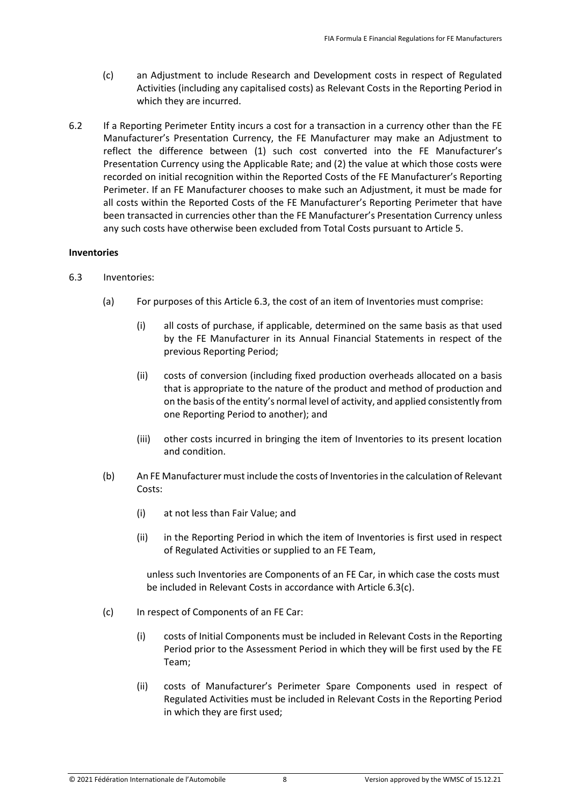- (c) an Adjustment to include Research and Development costs in respect of Regulated Activities (including any capitalised costs) as Relevant Costs in the Reporting Period in which they are incurred.
- 6.2 If a Reporting Perimeter Entity incurs a cost for a transaction in a currency other than the FE Manufacturer's Presentation Currency, the FE Manufacturer may make an Adjustment to reflect the difference between (1) such cost converted into the FE Manufacturer's Presentation Currency using the Applicable Rate; and (2) the value at which those costs were recorded on initial recognition within the Reported Costs of the FE Manufacturer's Reporting Perimeter. If an FE Manufacturer chooses to make such an Adjustment, it must be made for all costs within the Reported Costs of the FE Manufacturer's Reporting Perimeter that have been transacted in currencies other than the FE Manufacturer's Presentation Currency unless any such costs have otherwise been excluded from Total Costs pursuant to Article 5.

## **Inventories**

- 6.3 Inventories:
	- (a) For purposes of this Article 6.3, the cost of an item of Inventories must comprise:
		- (i) all costs of purchase, if applicable, determined on the same basis as that used by the FE Manufacturer in its Annual Financial Statements in respect of the previous Reporting Period;
		- (ii) costs of conversion (including fixed production overheads allocated on a basis that is appropriate to the nature of the product and method of production and on the basis of the entity's normal level of activity, and applied consistently from one Reporting Period to another); and
		- (iii) other costs incurred in bringing the item of Inventories to its present location and condition.
	- (b) An FE Manufacturer must include the costs of Inventories in the calculation of Relevant Costs:
		- (i) at not less than Fair Value; and
		- (ii) in the Reporting Period in which the item of Inventories is first used in respect of Regulated Activities or supplied to an FE Team,

unless such Inventories are Components of an FE Car, in which case the costs must be included in Relevant Costs in accordance with Article 6.3(c).

- (c) In respect of Components of an FE Car:
	- (i) costs of Initial Components must be included in Relevant Costs in the Reporting Period prior to the Assessment Period in which they will be first used by the FE Team;
	- (ii) costs of Manufacturer's Perimeter Spare Components used in respect of Regulated Activities must be included in Relevant Costs in the Reporting Period in which they are first used;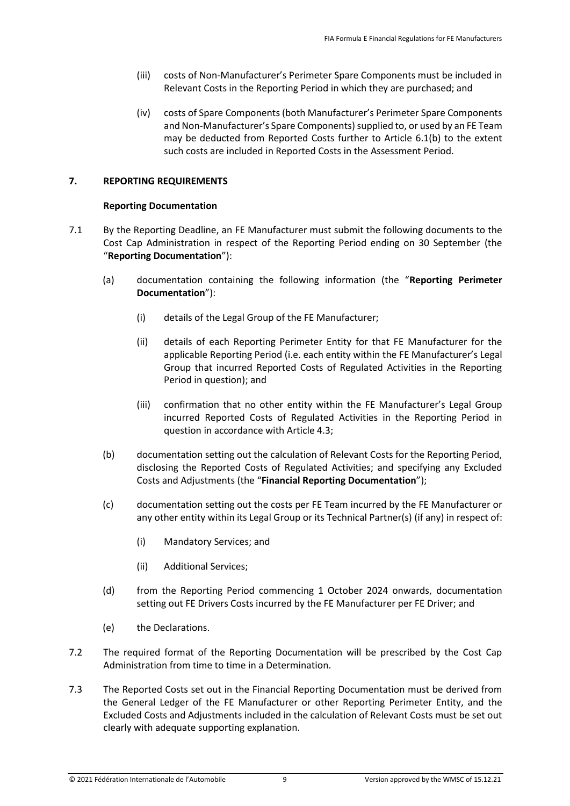- (iii) costs of Non-Manufacturer's Perimeter Spare Components must be included in Relevant Costs in the Reporting Period in which they are purchased; and
- (iv) costs of Spare Components (both Manufacturer's Perimeter Spare Components and Non-Manufacturer's Spare Components) supplied to, or used by an FE Team may be deducted from Reported Costs further to Article 6.1(b) to the extent such costs are included in Reported Costs in the Assessment Period.

## <span id="page-8-0"></span>**7. REPORTING REQUIREMENTS**

## **Reporting Documentation**

- 7.1 By the Reporting Deadline, an FE Manufacturer must submit the following documents to the Cost Cap Administration in respect of the Reporting Period ending on 30 September (the "**Reporting Documentation**"):
	- (a) documentation containing the following information (the "**Reporting Perimeter Documentation**"):
		- (i) details of the Legal Group of the FE Manufacturer;
		- (ii) details of each Reporting Perimeter Entity for that FE Manufacturer for the applicable Reporting Period (i.e. each entity within the FE Manufacturer's Legal Group that incurred Reported Costs of Regulated Activities in the Reporting Period in question); and
		- (iii) confirmation that no other entity within the FE Manufacturer's Legal Group incurred Reported Costs of Regulated Activities in the Reporting Period in question in accordance with Article 4.3;
	- (b) documentation setting out the calculation of Relevant Costs for the Reporting Period, disclosing the Reported Costs of Regulated Activities; and specifying any Excluded Costs and Adjustments (the "**Financial Reporting Documentation**");
	- (c) documentation setting out the costs per FE Team incurred by the FE Manufacturer or any other entity within its Legal Group or its Technical Partner(s) (if any) in respect of:
		- (i) Mandatory Services; and
		- (ii) Additional Services;
	- (d) from the Reporting Period commencing 1 October 2024 onwards, documentation setting out FE Drivers Costs incurred by the FE Manufacturer per FE Driver; and
	- (e) the Declarations.
- 7.2 The required format of the Reporting Documentation will be prescribed by the Cost Cap Administration from time to time in a Determination.
- 7.3 The Reported Costs set out in the Financial Reporting Documentation must be derived from the General Ledger of the FE Manufacturer or other Reporting Perimeter Entity, and the Excluded Costs and Adjustments included in the calculation of Relevant Costs must be set out clearly with adequate supporting explanation.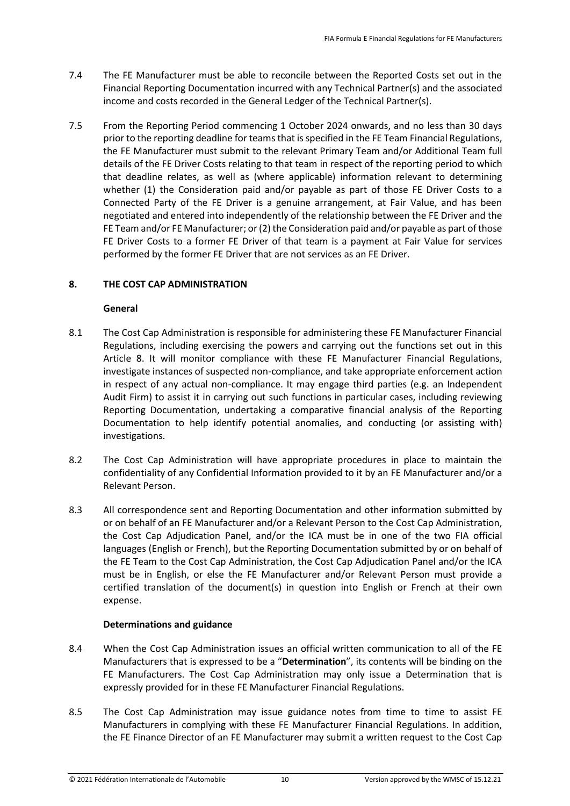- 7.4 The FE Manufacturer must be able to reconcile between the Reported Costs set out in the Financial Reporting Documentation incurred with any Technical Partner(s) and the associated income and costs recorded in the General Ledger of the Technical Partner(s).
- 7.5 From the Reporting Period commencing 1 October 2024 onwards, and no less than 30 days prior to the reporting deadline for teams that is specified in the FE Team Financial Regulations, the FE Manufacturer must submit to the relevant Primary Team and/or Additional Team full details of the FE Driver Costs relating to that team in respect of the reporting period to which that deadline relates, as well as (where applicable) information relevant to determining whether (1) the Consideration paid and/or payable as part of those FE Driver Costs to a Connected Party of the FE Driver is a genuine arrangement, at Fair Value, and has been negotiated and entered into independently of the relationship between the FE Driver and the FE Team and/or FE Manufacturer; or (2) the Consideration paid and/or payable as part of those FE Driver Costs to a former FE Driver of that team is a payment at Fair Value for services performed by the former FE Driver that are not services as an FE Driver.

# <span id="page-9-0"></span>**8. THE COST CAP ADMINISTRATION**

# **General**

- 8.1 The Cost Cap Administration is responsible for administering these FE Manufacturer Financial Regulations, including exercising the powers and carrying out the functions set out in this Article 8. It will monitor compliance with these FE Manufacturer Financial Regulations, investigate instances of suspected non-compliance, and take appropriate enforcement action in respect of any actual non-compliance. It may engage third parties (e.g. an Independent Audit Firm) to assist it in carrying out such functions in particular cases, including reviewing Reporting Documentation, undertaking a comparative financial analysis of the Reporting Documentation to help identify potential anomalies, and conducting (or assisting with) investigations.
- 8.2 The Cost Cap Administration will have appropriate procedures in place to maintain the confidentiality of any Confidential Information provided to it by an FE Manufacturer and/or a Relevant Person.
- 8.3 All correspondence sent and Reporting Documentation and other information submitted by or on behalf of an FE Manufacturer and/or a Relevant Person to the Cost Cap Administration, the Cost Cap Adjudication Panel, and/or the ICA must be in one of the two FIA official languages (English or French), but the Reporting Documentation submitted by or on behalf of the FE Team to the Cost Cap Administration, the Cost Cap Adjudication Panel and/or the ICA must be in English, or else the FE Manufacturer and/or Relevant Person must provide a certified translation of the document(s) in question into English or French at their own expense.

# **Determinations and guidance**

- 8.4 When the Cost Cap Administration issues an official written communication to all of the FE Manufacturers that is expressed to be a "**Determination**", its contents will be binding on the FE Manufacturers. The Cost Cap Administration may only issue a Determination that is expressly provided for in these FE Manufacturer Financial Regulations.
- 8.5 The Cost Cap Administration may issue guidance notes from time to time to assist FE Manufacturers in complying with these FE Manufacturer Financial Regulations. In addition, the FE Finance Director of an FE Manufacturer may submit a written request to the Cost Cap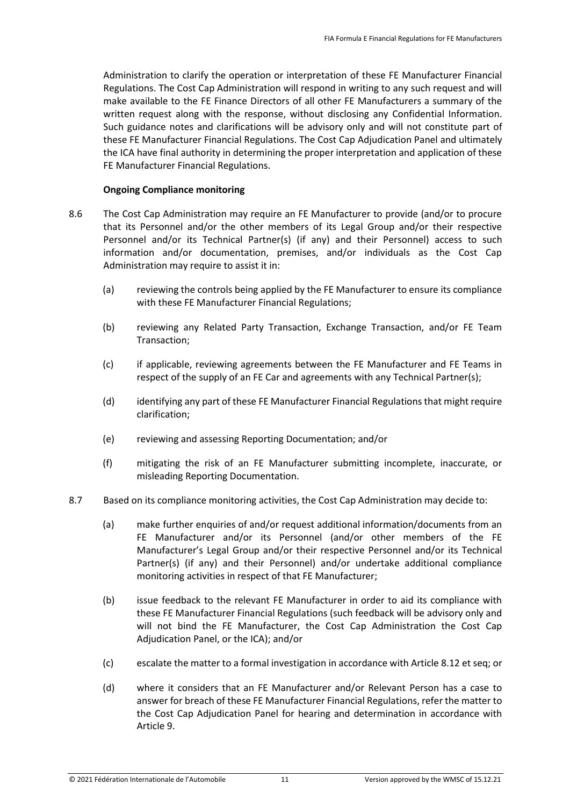Administration to clarify the operation or interpretation of these FE Manufacturer Financial Regulations. The Cost Cap Administration will respond in writing to any such request and will make available to the FE Finance Directors of all other FE Manufacturers a summary of the written request along with the response, without disclosing any Confidential Information. Such guidance notes and clarifications will be advisory only and will not constitute part of these FE Manufacturer Financial Regulations. The Cost Cap Adjudication Panel and ultimately the ICA have final authority in determining the proper interpretation and application of these FE Manufacturer Financial Regulations.

#### **Ongoing Compliance monitoring**

- 8.6 The Cost Cap Administration may require an FE Manufacturer to provide (and/or to procure that its Personnel and/or the other members of its Legal Group and/or their respective Personnel and/or its Technical Partner(s) (if any) and their Personnel) access to such information and/or documentation, premises, and/or individuals as the Cost Cap Administration may require to assist it in:
	- (a) reviewing the controls being applied by the FE Manufacturer to ensure its compliance with these FE Manufacturer Financial Regulations;
	- (b) reviewing any Related Party Transaction, Exchange Transaction, and/or FE Team Transaction;
	- (c) if applicable, reviewing agreements between the FE Manufacturer and FE Teams in respect of the supply of an FE Car and agreements with any Technical Partner(s);
	- (d) identifying any part of these FE Manufacturer Financial Regulations that might require clarification;
	- (e) reviewing and assessing Reporting Documentation; and/or
	- (f) mitigating the risk of an FE Manufacturer submitting incomplete, inaccurate, or misleading Reporting Documentation.
- 8.7 Based on its compliance monitoring activities, the Cost Cap Administration may decide to:
	- (a) make further enquiries of and/or request additional information/documents from an FE Manufacturer and/or its Personnel (and/or other members of the FE Manufacturer's Legal Group and/or their respective Personnel and/or its Technical Partner(s) (if any) and their Personnel) and/or undertake additional compliance monitoring activities in respect of that FE Manufacturer;
	- (b) issue feedback to the relevant FE Manufacturer in order to aid its compliance with these FE Manufacturer Financial Regulations (such feedback will be advisory only and will not bind the FE Manufacturer, the Cost Cap Administration the Cost Cap Adjudication Panel, or the ICA); and/or
	- (c) escalate the matter to a formal investigation in accordance with Article 8.12 et seq; or
	- (d) where it considers that an FE Manufacturer and/or Relevant Person has a case to answer for breach of these FE Manufacturer Financial Regulations, refer the matter to the Cost Cap Adjudication Panel for hearing and determination in accordance with Article 9.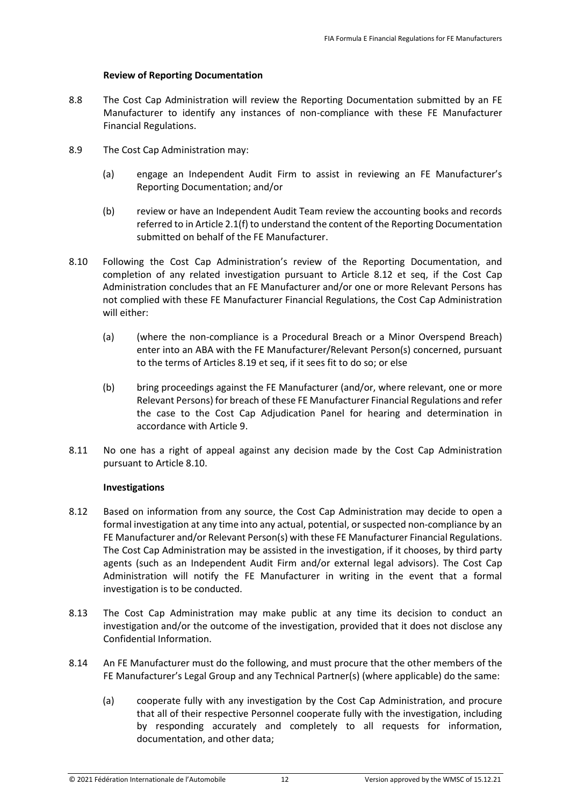## **Review of Reporting Documentation**

- 8.8 The Cost Cap Administration will review the Reporting Documentation submitted by an FE Manufacturer to identify any instances of non-compliance with these FE Manufacturer Financial Regulations.
- 8.9 The Cost Cap Administration may:
	- (a) engage an Independent Audit Firm to assist in reviewing an FE Manufacturer's Reporting Documentation; and/or
	- (b) review or have an Independent Audit Team review the accounting books and records referred to in Article 2.1(f) to understand the content of the Reporting Documentation submitted on behalf of the FE Manufacturer.
- 8.10 Following the Cost Cap Administration's review of the Reporting Documentation, and completion of any related investigation pursuant to Article 8.12 et seq, if the Cost Cap Administration concludes that an FE Manufacturer and/or one or more Relevant Persons has not complied with these FE Manufacturer Financial Regulations, the Cost Cap Administration will either:
	- (a) (where the non-compliance is a Procedural Breach or a Minor Overspend Breach) enter into an ABA with the FE Manufacturer/Relevant Person(s) concerned, pursuant to the terms of Articles 8.19 et seq, if it sees fit to do so; or else
	- (b) bring proceedings against the FE Manufacturer (and/or, where relevant, one or more Relevant Persons) for breach of these FE Manufacturer Financial Regulations and refer the case to the Cost Cap Adjudication Panel for hearing and determination in accordance with Article 9.
- 8.11 No one has a right of appeal against any decision made by the Cost Cap Administration pursuant to Article 8.10.

# **Investigations**

- 8.12 Based on information from any source, the Cost Cap Administration may decide to open a formal investigation at any time into any actual, potential, or suspected non-compliance by an FE Manufacturer and/or Relevant Person(s) with these FE Manufacturer Financial Regulations. The Cost Cap Administration may be assisted in the investigation, if it chooses, by third party agents (such as an Independent Audit Firm and/or external legal advisors). The Cost Cap Administration will notify the FE Manufacturer in writing in the event that a formal investigation is to be conducted.
- 8.13 The Cost Cap Administration may make public at any time its decision to conduct an investigation and/or the outcome of the investigation, provided that it does not disclose any Confidential Information.
- <span id="page-11-0"></span>8.14 An FE Manufacturer must do the following, and must procure that the other members of the FE Manufacturer's Legal Group and any Technical Partner(s) (where applicable) do the same:
	- (a) cooperate fully with any investigation by the Cost Cap Administration, and procure that all of their respective Personnel cooperate fully with the investigation, including by responding accurately and completely to all requests for information, documentation, and other data;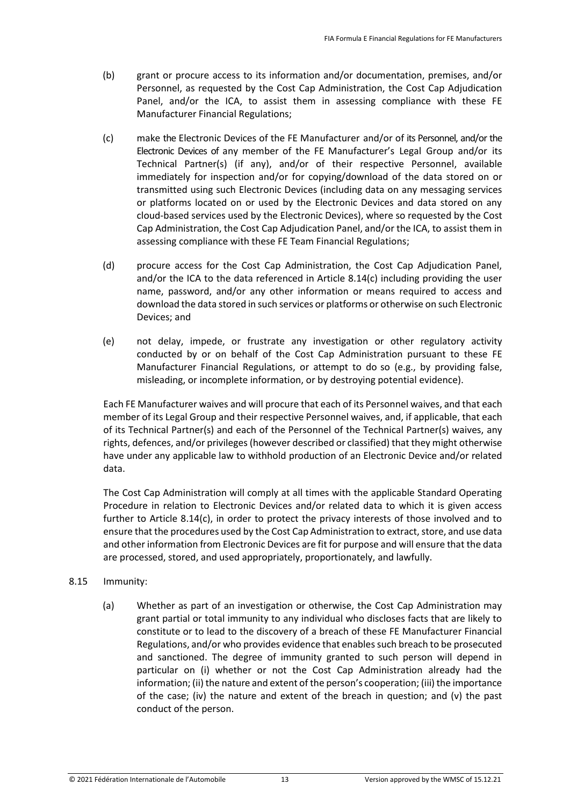- (b) grant or procure access to its information and/or documentation, premises, and/or Personnel, as requested by the Cost Cap Administration, the Cost Cap Adjudication Panel, and/or the ICA, to assist them in assessing compliance with these FE Manufacturer Financial Regulations;
- (c) make the Electronic Devices of the FE Manufacturer and/or of its Personnel, and/or the Electronic Devices of any member of the FE Manufacturer's Legal Group and/or its Technical Partner(s) (if any), and/or of their respective Personnel, available immediately for inspection and/or for copying/download of the data stored on or transmitted using such Electronic Devices (including data on any messaging services or platforms located on or used by the Electronic Devices and data stored on any cloud-based services used by the Electronic Devices), where so requested by the Cost Cap Administration, the Cost Cap Adjudication Panel, and/or the ICA, to assist them in assessing compliance with these FE Team Financial Regulations;
- (d) procure access for the Cost Cap Administration, the Cost Cap Adjudication Panel, and/or the ICA to the data referenced in Article 8.14(c) including providing the user name, password, and/or any other information or means required to access and download the data stored in such services or platforms or otherwise on such Electronic Devices; and
- (e) not delay, impede, or frustrate any investigation or other regulatory activity conducted by or on behalf of the Cost Cap Administration pursuant to these FE Manufacturer Financial Regulations, or attempt to do so (e.g., by providing false, misleading, or incomplete information, or by destroying potential evidence).

Each FE Manufacturer waives and will procure that each of its Personnel waives, and that each member of its Legal Group and their respective Personnel waives, and, if applicable, that each of its Technical Partner(s) and each of the Personnel of the Technical Partner(s) waives, any rights, defences, and/or privileges (however described or classified) that they might otherwise have under any applicable law to withhold production of an Electronic Device and/or related data.

The Cost Cap Administration will comply at all times with the applicable Standard Operating Procedure in relation to Electronic Devices and/or related data to which it is given access further to Article 8.14(c), in order to protect the privacy interests of those involved and to ensure that the procedures used by the Cost Cap Administration to extract, store, and use data and other information from Electronic Devices are fit for purpose and will ensure that the data are processed, stored, and used appropriately, proportionately, and lawfully.

# 8.15 Immunity:

(a) Whether as part of an investigation or otherwise, the Cost Cap Administration may grant partial or total immunity to any individual who discloses facts that are likely to constitute or to lead to the discovery of a breach of these FE Manufacturer Financial Regulations, and/or who provides evidence that enables such breach to be prosecuted and sanctioned. The degree of immunity granted to such person will depend in particular on (i) whether or not the Cost Cap Administration already had the information; (ii) the nature and extent of the person's cooperation; (iii) the importance of the case; (iv) the nature and extent of the breach in question; and (v) the past conduct of the person.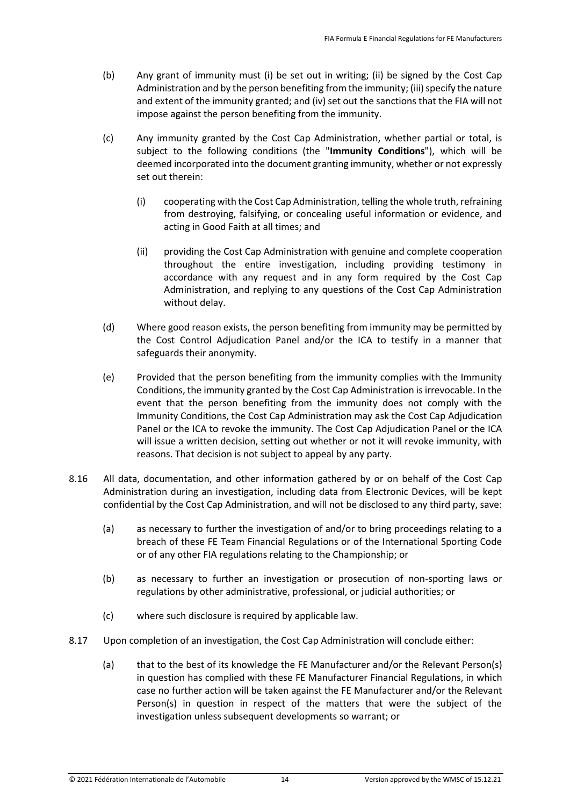- (b) Any grant of immunity must (i) be set out in writing; (ii) be signed by the Cost Cap Administration and by the person benefiting from the immunity; (iii) specify the nature and extent of the immunity granted; and (iv) set out the sanctions that the FIA will not impose against the person benefiting from the immunity.
- (c) Any immunity granted by the Cost Cap Administration, whether partial or total, is subject to the following conditions (the "**Immunity Conditions**"), which will be deemed incorporated into the document granting immunity, whether or not expressly set out therein:
	- (i) cooperating with the Cost Cap Administration, telling the whole truth, refraining from destroying, falsifying, or concealing useful information or evidence, and acting in Good Faith at all times; and
	- (ii) providing the Cost Cap Administration with genuine and complete cooperation throughout the entire investigation, including providing testimony in accordance with any request and in any form required by the Cost Cap Administration, and replying to any questions of the Cost Cap Administration without delay.
- (d) Where good reason exists, the person benefiting from immunity may be permitted by the Cost Control Adjudication Panel and/or the ICA to testify in a manner that safeguards their anonymity.
- (e) Provided that the person benefiting from the immunity complies with the Immunity Conditions, the immunity granted by the Cost Cap Administration is irrevocable. In the event that the person benefiting from the immunity does not comply with the Immunity Conditions, the Cost Cap Administration may ask the Cost Cap Adjudication Panel or the ICA to revoke the immunity. The Cost Cap Adjudication Panel or the ICA will issue a written decision, setting out whether or not it will revoke immunity, with reasons. That decision is not subject to appeal by any party.
- 8.16 All data, documentation, and other information gathered by or on behalf of the Cost Cap Administration during an investigation, including data from Electronic Devices, will be kept confidential by the Cost Cap Administration, and will not be disclosed to any third party, save:
	- (a) as necessary to further the investigation of and/or to bring proceedings relating to a breach of these FE Team Financial Regulations or of the International Sporting Code or of any other FIA regulations relating to the Championship; or
	- (b) as necessary to further an investigation or prosecution of non-sporting laws or regulations by other administrative, professional, or judicial authorities; or
	- (c) where such disclosure is required by applicable law.
- 8.17 Upon completion of an investigation, the Cost Cap Administration will conclude either:
	- (a) that to the best of its knowledge the FE Manufacturer and/or the Relevant Person(s) in question has complied with these FE Manufacturer Financial Regulations, in which case no further action will be taken against the FE Manufacturer and/or the Relevant Person(s) in question in respect of the matters that were the subject of the investigation unless subsequent developments so warrant; or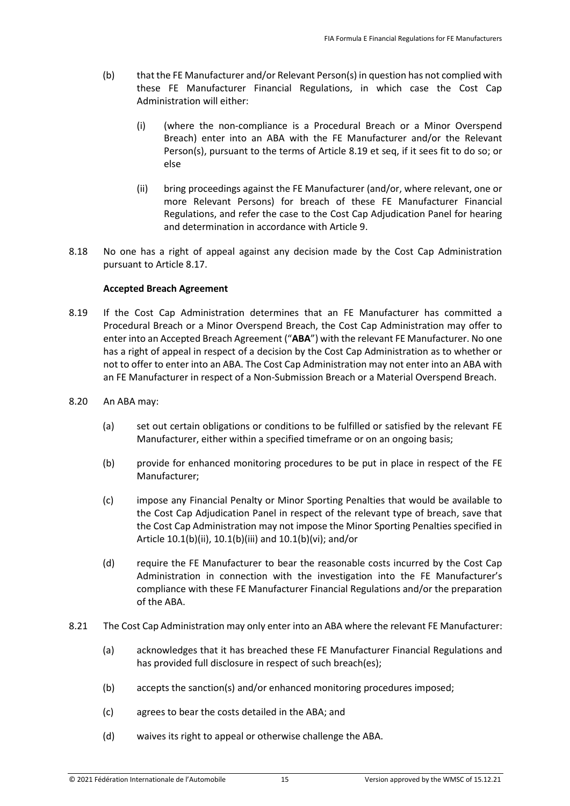- (b) that the FE Manufacturer and/or Relevant Person(s) in question has not complied with these FE Manufacturer Financial Regulations, in which case the Cost Cap Administration will either:
	- (i) (where the non-compliance is a Procedural Breach or a Minor Overspend Breach) enter into an ABA with the FE Manufacturer and/or the Relevant Person(s), pursuant to the terms of Article 8.19 et seq, if it sees fit to do so; or else
	- (ii) bring proceedings against the FE Manufacturer (and/or, where relevant, one or more Relevant Persons) for breach of these FE Manufacturer Financial Regulations, and refer the case to the Cost Cap Adjudication Panel for hearing and determination in accordance with Article 9.
- 8.18 No one has a right of appeal against any decision made by the Cost Cap Administration pursuant to Article 8.17.

# **Accepted Breach Agreement**

- 8.19 If the Cost Cap Administration determines that an FE Manufacturer has committed a Procedural Breach or a Minor Overspend Breach, the Cost Cap Administration may offer to enter into an Accepted Breach Agreement ("**ABA**") with the relevant FE Manufacturer. No one has a right of appeal in respect of a decision by the Cost Cap Administration as to whether or not to offer to enter into an ABA. The Cost Cap Administration may not enter into an ABA with an FE Manufacturer in respect of a Non-Submission Breach or a Material Overspend Breach.
- 8.20 An ABA may:
	- (a) set out certain obligations or conditions to be fulfilled or satisfied by the relevant FE Manufacturer, either within a specified timeframe or on an ongoing basis;
	- (b) provide for enhanced monitoring procedures to be put in place in respect of the FE Manufacturer;
	- (c) impose any Financial Penalty or Minor Sporting Penalties that would be available to the Cost Cap Adjudication Panel in respect of the relevant type of breach, save that the Cost Cap Administration may not impose the Minor Sporting Penalties specified in Article 10.1(b)(ii), 10.1(b)(iii) and 10.1(b)(vi); and/or
	- (d) require the FE Manufacturer to bear the reasonable costs incurred by the Cost Cap Administration in connection with the investigation into the FE Manufacturer's compliance with these FE Manufacturer Financial Regulations and/or the preparation of the ABA.
- 8.21 The Cost Cap Administration may only enter into an ABA where the relevant FE Manufacturer:
	- (a) acknowledges that it has breached these FE Manufacturer Financial Regulations and has provided full disclosure in respect of such breach(es);
	- (b) accepts the sanction(s) and/or enhanced monitoring procedures imposed;
	- (c) agrees to bear the costs detailed in the ABA; and
	- (d) waives its right to appeal or otherwise challenge the ABA.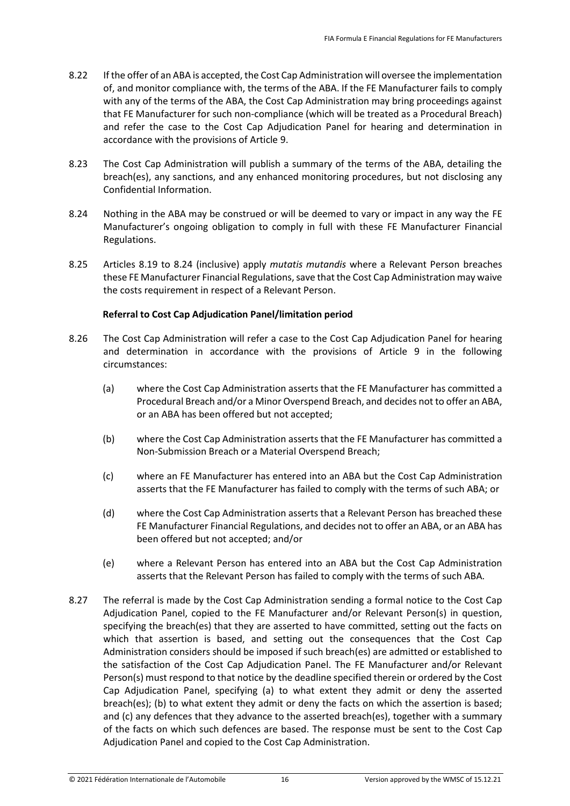- 8.22 If the offer of an ABA is accepted, the Cost Cap Administration will oversee the implementation of, and monitor compliance with, the terms of the ABA. If the FE Manufacturer fails to comply with any of the terms of the ABA, the Cost Cap Administration may bring proceedings against that FE Manufacturer for such non-compliance (which will be treated as a Procedural Breach) and refer the case to the Cost Cap Adjudication Panel for hearing and determination in accordance with the provisions of Article 9.
- 8.23 The Cost Cap Administration will publish a summary of the terms of the ABA, detailing the breach(es), any sanctions, and any enhanced monitoring procedures, but not disclosing any Confidential Information.
- 8.24 Nothing in the ABA may be construed or will be deemed to vary or impact in any way the FE Manufacturer's ongoing obligation to comply in full with these FE Manufacturer Financial Regulations.
- 8.25 Articles 8.19 to 8.24 (inclusive) apply *mutatis mutandis* where a Relevant Person breaches these FE Manufacturer Financial Regulations, save that the Cost Cap Administration may waive the costs requirement in respect of a Relevant Person.

# **Referral to Cost Cap Adjudication Panel/limitation period**

- 8.26 The Cost Cap Administration will refer a case to the Cost Cap Adjudication Panel for hearing and determination in accordance with the provisions of Article 9 in the following circumstances:
	- (a) where the Cost Cap Administration asserts that the FE Manufacturer has committed a Procedural Breach and/or a Minor Overspend Breach, and decides not to offer an ABA, or an ABA has been offered but not accepted;
	- (b) where the Cost Cap Administration asserts that the FE Manufacturer has committed a Non-Submission Breach or a Material Overspend Breach;
	- (c) where an FE Manufacturer has entered into an ABA but the Cost Cap Administration asserts that the FE Manufacturer has failed to comply with the terms of such ABA; or
	- (d) where the Cost Cap Administration asserts that a Relevant Person has breached these FE Manufacturer Financial Regulations, and decides not to offer an ABA, or an ABA has been offered but not accepted; and/or
	- (e) where a Relevant Person has entered into an ABA but the Cost Cap Administration asserts that the Relevant Person has failed to comply with the terms of such ABA.
- 8.27 The referral is made by the Cost Cap Administration sending a formal notice to the Cost Cap Adjudication Panel, copied to the FE Manufacturer and/or Relevant Person(s) in question, specifying the breach(es) that they are asserted to have committed, setting out the facts on which that assertion is based, and setting out the consequences that the Cost Cap Administration considers should be imposed if such breach(es) are admitted or established to the satisfaction of the Cost Cap Adjudication Panel. The FE Manufacturer and/or Relevant Person(s) must respond to that notice by the deadline specified therein or ordered by the Cost Cap Adjudication Panel, specifying (a) to what extent they admit or deny the asserted breach(es); (b) to what extent they admit or deny the facts on which the assertion is based; and (c) any defences that they advance to the asserted breach(es), together with a summary of the facts on which such defences are based. The response must be sent to the Cost Cap Adjudication Panel and copied to the Cost Cap Administration.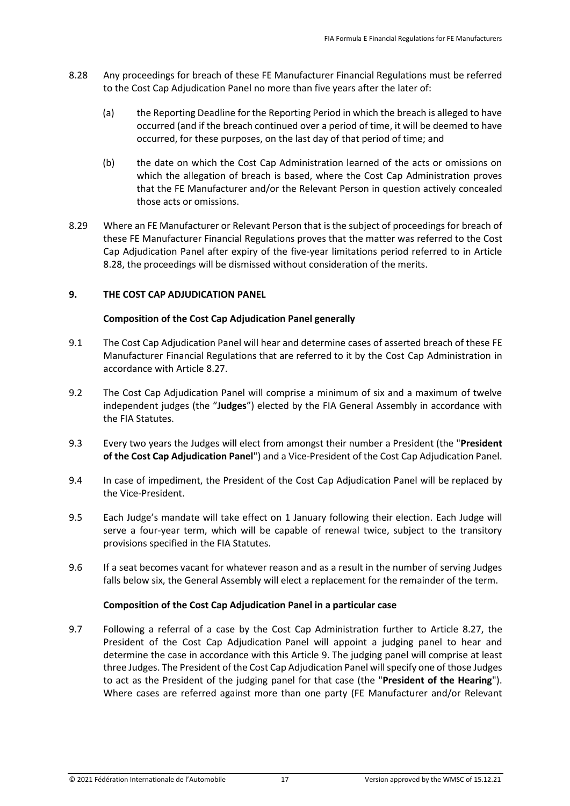- 8.28 Any proceedings for breach of these FE Manufacturer Financial Regulations must be referred to the Cost Cap Adjudication Panel no more than five years after the later of:
	- (a) the Reporting Deadline for the Reporting Period in which the breach is alleged to have occurred (and if the breach continued over a period of time, it will be deemed to have occurred, for these purposes, on the last day of that period of time; and
	- (b) the date on which the Cost Cap Administration learned of the acts or omissions on which the allegation of breach is based, where the Cost Cap Administration proves that the FE Manufacturer and/or the Relevant Person in question actively concealed those acts or omissions.
- 8.29 Where an FE Manufacturer or Relevant Person that is the subject of proceedings for breach of these FE Manufacturer Financial Regulations proves that the matter was referred to the Cost Cap Adjudication Panel after expiry of the five-year limitations period referred to in Article 8.28, the proceedings will be dismissed without consideration of the merits.

## <span id="page-16-0"></span>**9. THE COST CAP ADJUDICATION PANEL**

## **Composition of the Cost Cap Adjudication Panel generally**

- 9.1 The Cost Cap Adjudication Panel will hear and determine cases of asserted breach of these FE Manufacturer Financial Regulations that are referred to it by the Cost Cap Administration in accordance with Article 8.27.
- 9.2 The Cost Cap Adjudication Panel will comprise a minimum of six and a maximum of twelve independent judges (the "**Judges**") elected by the FIA General Assembly in accordance with the FIA Statutes.
- 9.3 Every two years the Judges will elect from amongst their number a President (the "**President of the Cost Cap Adjudication Panel**") and a Vice-President of the Cost Cap Adjudication Panel.
- 9.4 In case of impediment, the President of the Cost Cap Adjudication Panel will be replaced by the Vice-President.
- 9.5 Each Judge's mandate will take effect on 1 January following their election. Each Judge will serve a four-year term, which will be capable of renewal twice, subject to the transitory provisions specified in the FIA Statutes.
- 9.6 If a seat becomes vacant for whatever reason and as a result in the number of serving Judges falls below six, the General Assembly will elect a replacement for the remainder of the term.

## **Composition of the Cost Cap Adjudication Panel in a particular case**

9.7 Following a referral of a case by the Cost Cap Administration further to Article 8.27, the President of the Cost Cap Adjudication Panel will appoint a judging panel to hear and determine the case in accordance with this Article 9. The judging panel will comprise at least three Judges. The President of the Cost Cap Adjudication Panel will specify one of those Judges to act as the President of the judging panel for that case (the "**President of the Hearing**"). Where cases are referred against more than one party (FE Manufacturer and/or Relevant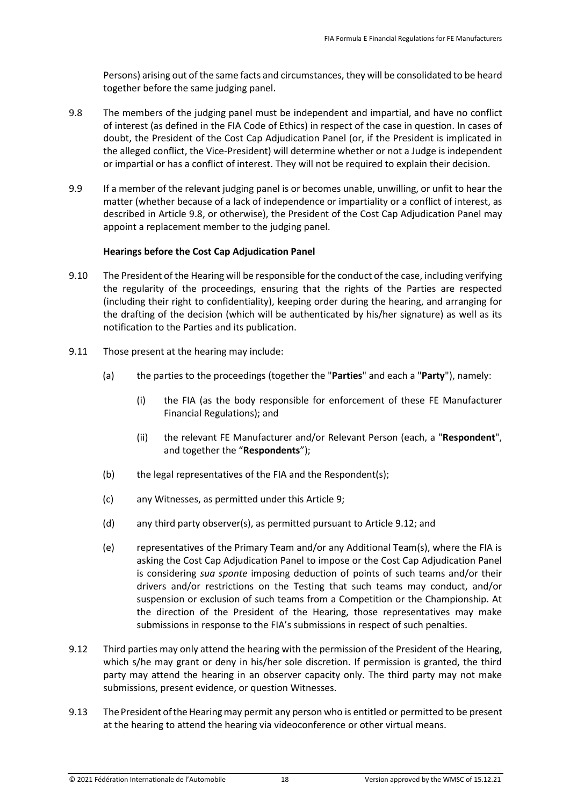Persons) arising out of the same facts and circumstances, they will be consolidated to be heard together before the same judging panel.

- 9.8 The members of the judging panel must be independent and impartial, and have no conflict of interest (as defined in the FIA Code of Ethics) in respect of the case in question. In cases of doubt, the President of the Cost Cap Adjudication Panel (or, if the President is implicated in the alleged conflict, the Vice‐President) will determine whether or not a Judge is independent or impartial or has a conflict of interest. They will not be required to explain their decision.
- 9.9 If a member of the relevant judging panel is or becomes unable, unwilling, or unfit to hear the matter (whether because of a lack of independence or impartiality or a conflict of interest, as described in Article 9.8, or otherwise), the President of the Cost Cap Adjudication Panel may appoint a replacement member to the judging panel.

## **Hearings before the Cost Cap Adjudication Panel**

- 9.10 The President of the Hearing will be responsible for the conduct of the case, including verifying the regularity of the proceedings, ensuring that the rights of the Parties are respected (including their right to confidentiality), keeping order during the hearing, and arranging for the drafting of the decision (which will be authenticated by his/her signature) as well as its notification to the Parties and its publication.
- 9.11 Those present at the hearing may include:
	- (a) the parties to the proceedings (together the "**Parties**" and each a "**Party**"), namely:
		- (i) the FIA (as the body responsible for enforcement of these FE Manufacturer Financial Regulations); and
		- (ii) the relevant FE Manufacturer and/or Relevant Person (each, a "**Respondent**", and together the "**Respondents**");
	- (b) the legal representatives of the FIA and the Respondent(s);
	- (c) any Witnesses, as permitted under this Article 9;
	- (d) any third party observer(s), as permitted pursuant to Article 9.12; and
	- (e) representatives of the Primary Team and/or any Additional Team(s), where the FIA is asking the Cost Cap Adjudication Panel to impose or the Cost Cap Adjudication Panel is considering *sua sponte* imposing deduction of points of such teams and/or their drivers and/or restrictions on the Testing that such teams may conduct, and/or suspension or exclusion of such teams from a Competition or the Championship. At the direction of the President of the Hearing, those representatives may make submissions in response to the FIA's submissions in respect of such penalties.
- 9.12 Third parties may only attend the hearing with the permission of the President of the Hearing, which s/he may grant or deny in his/her sole discretion. If permission is granted, the third party may attend the hearing in an observer capacity only. The third party may not make submissions, present evidence, or question Witnesses.
- 9.13 The President of the Hearing may permit any person who is entitled or permitted to be present at the hearing to attend the hearing via videoconference or other virtual means.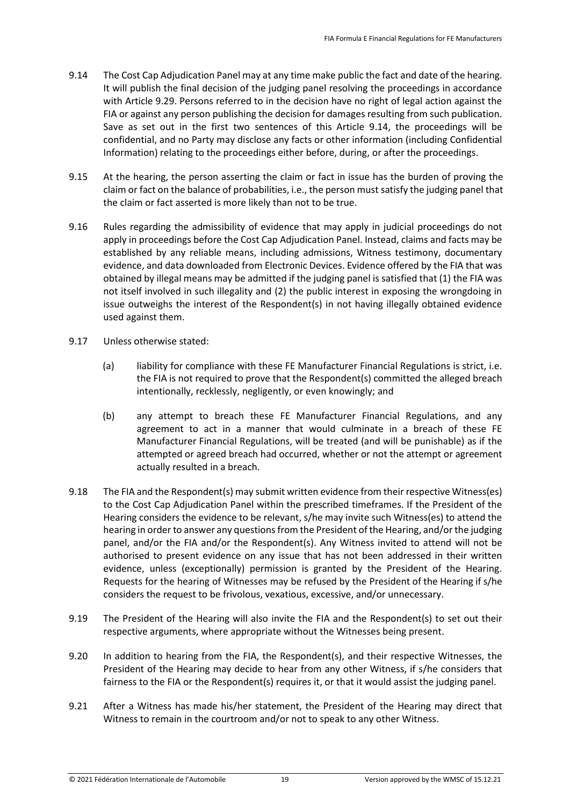- 9.14 The Cost Cap Adjudication Panel may at any time make public the fact and date of the hearing. It will publish the final decision of the judging panel resolving the proceedings in accordance with Article 9.29. Persons referred to in the decision have no right of legal action against the FIA or against any person publishing the decision for damages resulting from such publication. Save as set out in the first two sentences of this Article 9.14, the proceedings will be confidential, and no Party may disclose any facts or other information (including Confidential Information) relating to the proceedings either before, during, or after the proceedings.
- 9.15 At the hearing, the person asserting the claim or fact in issue has the burden of proving the claim or fact on the balance of probabilities, i.e., the person must satisfy the judging panel that the claim or fact asserted is more likely than not to be true.
- 9.16 Rules regarding the admissibility of evidence that may apply in judicial proceedings do not apply in proceedings before the Cost Cap Adjudication Panel. Instead, claims and facts may be established by any reliable means, including admissions, Witness testimony, documentary evidence, and data downloaded from Electronic Devices. Evidence offered by the FIA that was obtained by illegal means may be admitted if the judging panel is satisfied that (1) the FIA was not itself involved in such illegality and (2) the public interest in exposing the wrongdoing in issue outweighs the interest of the Respondent(s) in not having illegally obtained evidence used against them.
- 9.17 Unless otherwise stated:
	- (a) liability for compliance with these FE Manufacturer Financial Regulations is strict, i.e. the FIA is not required to prove that the Respondent(s) committed the alleged breach intentionally, recklessly, negligently, or even knowingly; and
	- (b) any attempt to breach these FE Manufacturer Financial Regulations, and any agreement to act in a manner that would culminate in a breach of these FE Manufacturer Financial Regulations, will be treated (and will be punishable) as if the attempted or agreed breach had occurred, whether or not the attempt or agreement actually resulted in a breach.
- 9.18 The FIA and the Respondent(s) may submit written evidence from their respective Witness(es) to the Cost Cap Adjudication Panel within the prescribed timeframes. If the President of the Hearing considers the evidence to be relevant, s/he may invite such Witness(es) to attend the hearing in order to answer any questions from the President of the Hearing, and/or the judging panel, and/or the FIA and/or the Respondent(s). Any Witness invited to attend will not be authorised to present evidence on any issue that has not been addressed in their written evidence, unless (exceptionally) permission is granted by the President of the Hearing. Requests for the hearing of Witnesses may be refused by the President of the Hearing if s/he considers the request to be frivolous, vexatious, excessive, and/or unnecessary.
- 9.19 The President of the Hearing will also invite the FIA and the Respondent(s) to set out their respective arguments, where appropriate without the Witnesses being present.
- 9.20 In addition to hearing from the FIA, the Respondent(s), and their respective Witnesses, the President of the Hearing may decide to hear from any other Witness, if s/he considers that fairness to the FIA or the Respondent(s) requires it, or that it would assist the judging panel.
- 9.21 After a Witness has made his/her statement, the President of the Hearing may direct that Witness to remain in the courtroom and/or not to speak to any other Witness.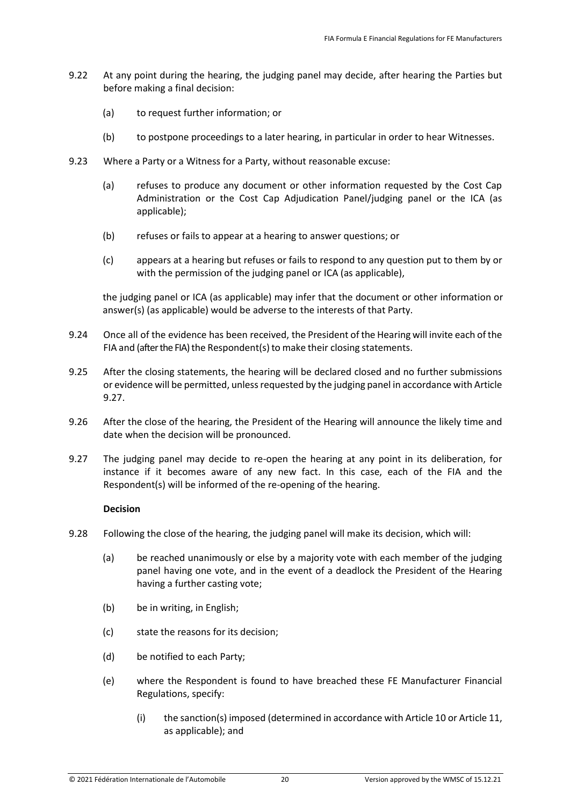- 9.22 At any point during the hearing, the judging panel may decide, after hearing the Parties but before making a final decision:
	- (a) to request further information; or
	- (b) to postpone proceedings to a later hearing, in particular in order to hear Witnesses.
- 9.23 Where a Party or a Witness for a Party, without reasonable excuse:
	- (a) refuses to produce any document or other information requested by the Cost Cap Administration or the Cost Cap Adjudication Panel/judging panel or the ICA (as applicable);
	- (b) refuses or fails to appear at a hearing to answer questions; or
	- (c) appears at a hearing but refuses or fails to respond to any question put to them by or with the permission of the judging panel or ICA (as applicable),

the judging panel or ICA (as applicable) may infer that the document or other information or answer(s) (as applicable) would be adverse to the interests of that Party.

- 9.24 Once all of the evidence has been received, the President of the Hearing will invite each of the FIA and (after the FIA) the Respondent(s) to make their closing statements.
- 9.25 After the closing statements, the hearing will be declared closed and no further submissions or evidence will be permitted, unless requested by the judging panel in accordance with Article 9.27.
- 9.26 After the close of the hearing, the President of the Hearing will announce the likely time and date when the decision will be pronounced.
- 9.27 The judging panel may decide to re-open the hearing at any point in its deliberation, for instance if it becomes aware of any new fact. In this case, each of the FIA and the Respondent(s) will be informed of the re-opening of the hearing.

## **Decision**

- 9.28 Following the close of the hearing, the judging panel will make its decision, which will:
	- (a) be reached unanimously or else by a majority vote with each member of the judging panel having one vote, and in the event of a deadlock the President of the Hearing having a further casting vote;
	- (b) be in writing, in English;
	- (c) state the reasons for its decision;
	- (d) be notified to each Party;
	- (e) where the Respondent is found to have breached these FE Manufacturer Financial Regulations, specify:
		- (i) the sanction(s) imposed (determined in accordance with Article 10 or Article 11, as applicable); and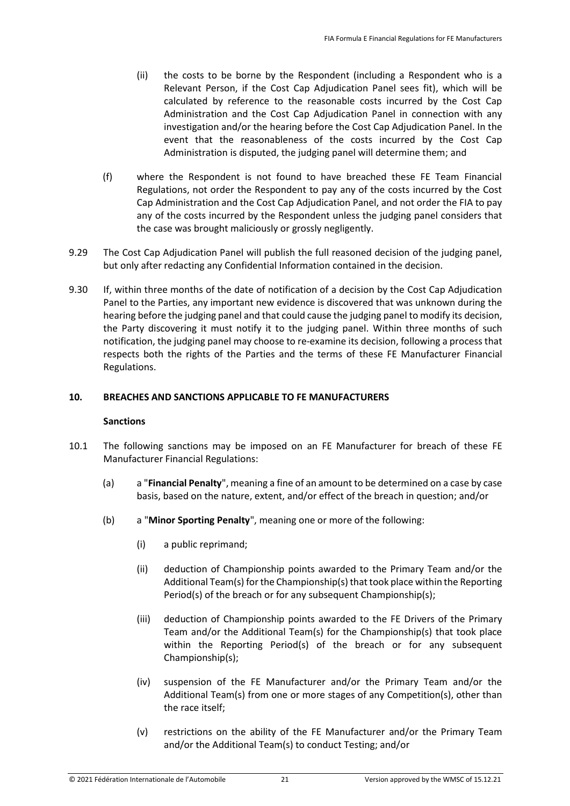- (ii) the costs to be borne by the Respondent (including a Respondent who is a Relevant Person, if the Cost Cap Adjudication Panel sees fit), which will be calculated by reference to the reasonable costs incurred by the Cost Cap Administration and the Cost Cap Adjudication Panel in connection with any investigation and/or the hearing before the Cost Cap Adjudication Panel. In the event that the reasonableness of the costs incurred by the Cost Cap Administration is disputed, the judging panel will determine them; and
- (f) where the Respondent is not found to have breached these FE Team Financial Regulations, not order the Respondent to pay any of the costs incurred by the Cost Cap Administration and the Cost Cap Adjudication Panel, and not order the FIA to pay any of the costs incurred by the Respondent unless the judging panel considers that the case was brought maliciously or grossly negligently.
- 9.29 The Cost Cap Adjudication Panel will publish the full reasoned decision of the judging panel, but only after redacting any Confidential Information contained in the decision.
- 9.30 If, within three months of the date of notification of a decision by the Cost Cap Adjudication Panel to the Parties, any important new evidence is discovered that was unknown during the hearing before the judging panel and that could cause the judging panel to modify its decision, the Party discovering it must notify it to the judging panel. Within three months of such notification, the judging panel may choose to re-examine its decision, following a process that respects both the rights of the Parties and the terms of these FE Manufacturer Financial Regulations.

# <span id="page-20-0"></span>**10. BREACHES AND SANCTIONS APPLICABLE TO FE MANUFACTURERS**

# **Sanctions**

- 10.1 The following sanctions may be imposed on an FE Manufacturer for breach of these FE Manufacturer Financial Regulations:
	- (a) a "**Financial Penalty**", meaning a fine of an amount to be determined on a case by case basis, based on the nature, extent, and/or effect of the breach in question; and/or
	- (b) a "**Minor Sporting Penalty**", meaning one or more of the following:
		- (i) a public reprimand;
		- (ii) deduction of Championship points awarded to the Primary Team and/or the Additional Team(s) for the Championship(s) that took place within the Reporting Period(s) of the breach or for any subsequent Championship(s);
		- (iii) deduction of Championship points awarded to the FE Drivers of the Primary Team and/or the Additional Team(s) for the Championship(s) that took place within the Reporting Period(s) of the breach or for any subsequent Championship(s);
		- (iv) suspension of the FE Manufacturer and/or the Primary Team and/or the Additional Team(s) from one or more stages of any Competition(s), other than the race itself;
		- (v) restrictions on the ability of the FE Manufacturer and/or the Primary Team and/or the Additional Team(s) to conduct Testing; and/or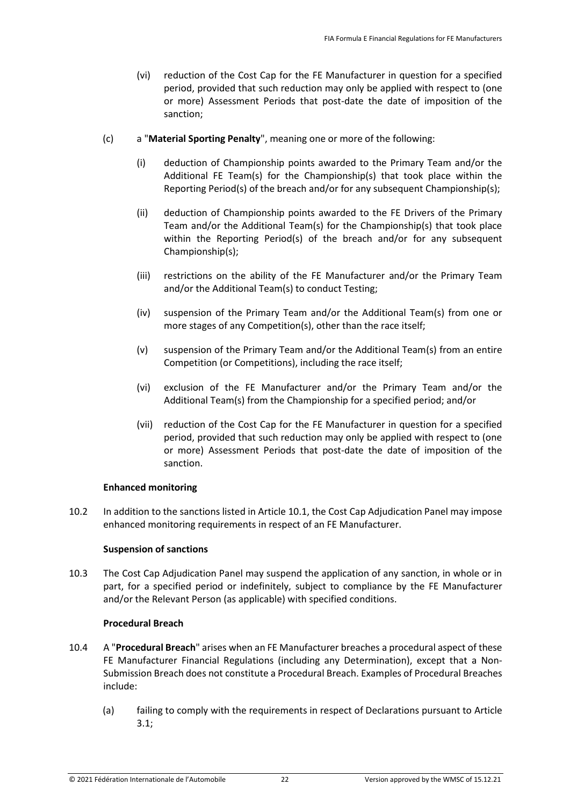- (vi) reduction of the Cost Cap for the FE Manufacturer in question for a specified period, provided that such reduction may only be applied with respect to (one or more) Assessment Periods that post-date the date of imposition of the sanction;
- (c) a "**Material Sporting Penalty**", meaning one or more of the following:
	- (i) deduction of Championship points awarded to the Primary Team and/or the Additional FE Team(s) for the Championship(s) that took place within the Reporting Period(s) of the breach and/or for any subsequent Championship(s);
	- (ii) deduction of Championship points awarded to the FE Drivers of the Primary Team and/or the Additional Team(s) for the Championship(s) that took place within the Reporting Period(s) of the breach and/or for any subsequent Championship(s);
	- (iii) restrictions on the ability of the FE Manufacturer and/or the Primary Team and/or the Additional Team(s) to conduct Testing;
	- (iv) suspension of the Primary Team and/or the Additional Team(s) from one or more stages of any Competition(s), other than the race itself;
	- (v) suspension of the Primary Team and/or the Additional Team(s) from an entire Competition (or Competitions), including the race itself;
	- (vi) exclusion of the FE Manufacturer and/or the Primary Team and/or the Additional Team(s) from the Championship for a specified period; and/or
	- (vii) reduction of the Cost Cap for the FE Manufacturer in question for a specified period, provided that such reduction may only be applied with respect to (one or more) Assessment Periods that post-date the date of imposition of the sanction.

## **Enhanced monitoring**

10.2 In addition to the sanctions listed in Article 10.1, the Cost Cap Adjudication Panel may impose enhanced monitoring requirements in respect of an FE Manufacturer.

## **Suspension of sanctions**

10.3 The Cost Cap Adjudication Panel may suspend the application of any sanction, in whole or in part, for a specified period or indefinitely, subject to compliance by the FE Manufacturer and/or the Relevant Person (as applicable) with specified conditions.

## **Procedural Breach**

- 10.4 A "**Procedural Breach**" arises when an FE Manufacturer breaches a procedural aspect of these FE Manufacturer Financial Regulations (including any Determination), except that a Non-Submission Breach does not constitute a Procedural Breach. Examples of Procedural Breaches include:
	- (a) failing to comply with the requirements in respect of Declarations pursuant to Article 3.1;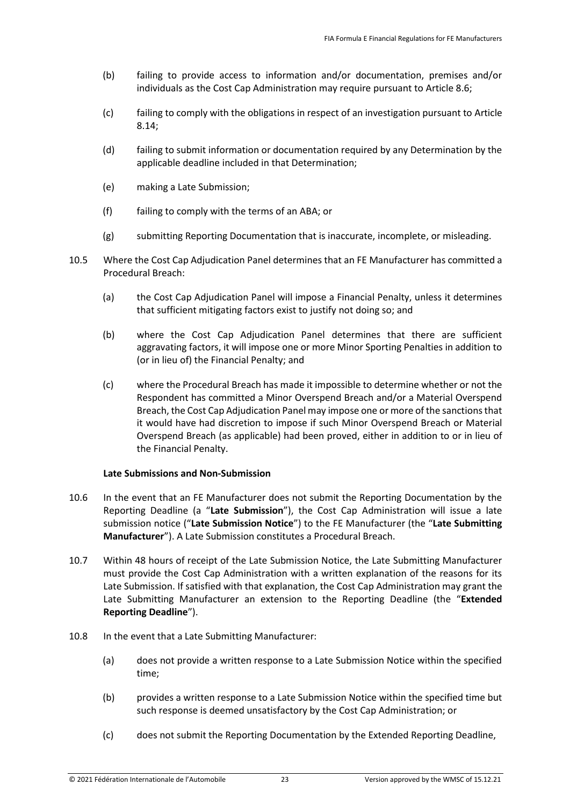- (b) failing to provide access to information and/or documentation, premises and/or individuals as the Cost Cap Administration may require pursuant to Article 8.6;
- (c) failing to comply with the obligations in respect of an investigation pursuant to Article 8.14;
- (d) failing to submit information or documentation required by any Determination by the applicable deadline included in that Determination;
- (e) making a Late Submission;
- (f) failing to comply with the terms of an ABA; or
- (g) submitting Reporting Documentation that is inaccurate, incomplete, or misleading.
- 10.5 Where the Cost Cap Adjudication Panel determines that an FE Manufacturer has committed a Procedural Breach:
	- (a) the Cost Cap Adjudication Panel will impose a Financial Penalty, unless it determines that sufficient mitigating factors exist to justify not doing so; and
	- (b) where the Cost Cap Adjudication Panel determines that there are sufficient aggravating factors, it will impose one or more Minor Sporting Penalties in addition to (or in lieu of) the Financial Penalty; and
	- (c) where the Procedural Breach has made it impossible to determine whether or not the Respondent has committed a Minor Overspend Breach and/or a Material Overspend Breach, the Cost Cap Adjudication Panel may impose one or more of the sanctions that it would have had discretion to impose if such Minor Overspend Breach or Material Overspend Breach (as applicable) had been proved, either in addition to or in lieu of the Financial Penalty.

# **Late Submissions and Non-Submission**

- 10.6 In the event that an FE Manufacturer does not submit the Reporting Documentation by the Reporting Deadline (a "**Late Submission**"), the Cost Cap Administration will issue a late submission notice ("**Late Submission Notice**") to the FE Manufacturer (the "**Late Submitting Manufacturer**"). A Late Submission constitutes a Procedural Breach.
- 10.7 Within 48 hours of receipt of the Late Submission Notice, the Late Submitting Manufacturer must provide the Cost Cap Administration with a written explanation of the reasons for its Late Submission. If satisfied with that explanation, the Cost Cap Administration may grant the Late Submitting Manufacturer an extension to the Reporting Deadline (the "**Extended Reporting Deadline**").
- 10.8 In the event that a Late Submitting Manufacturer:
	- (a) does not provide a written response to a Late Submission Notice within the specified time;
	- (b) provides a written response to a Late Submission Notice within the specified time but such response is deemed unsatisfactory by the Cost Cap Administration; or
	- (c) does not submit the Reporting Documentation by the Extended Reporting Deadline,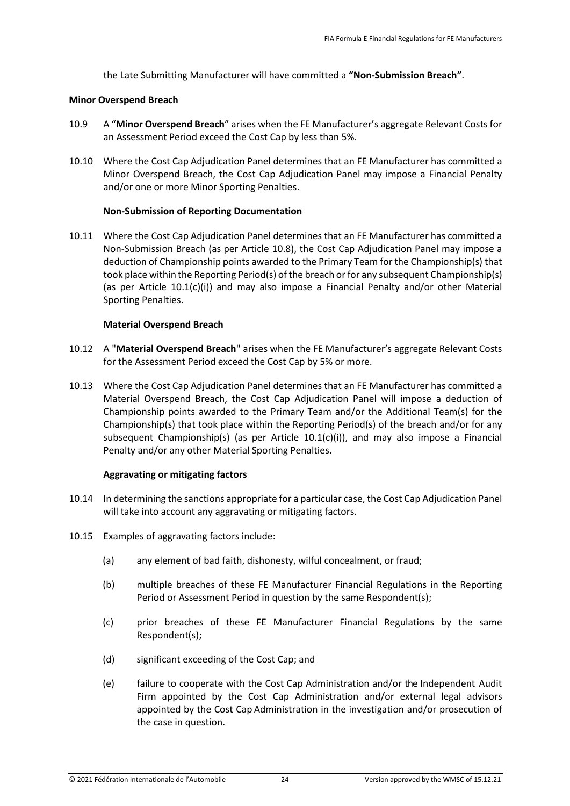the Late Submitting Manufacturer will have committed a **"Non-Submission Breach"**.

#### **Minor Overspend Breach**

- 10.9 A "**Minor Overspend Breach**" arises when the FE Manufacturer's aggregate Relevant Costs for an Assessment Period exceed the Cost Cap by less than 5%.
- 10.10 Where the Cost Cap Adjudication Panel determines that an FE Manufacturer has committed a Minor Overspend Breach, the Cost Cap Adjudication Panel may impose a Financial Penalty and/or one or more Minor Sporting Penalties.

## **Non-Submission of Reporting Documentation**

10.11 Where the Cost Cap Adjudication Panel determines that an FE Manufacturer has committed a Non-Submission Breach (as per Article 10.8), the Cost Cap Adjudication Panel may impose a deduction of Championship points awarded to the Primary Team for the Championship(s) that took place within the Reporting Period(s) of the breach or for any subsequent Championship(s) (as per Article  $10.1(c)(i)$ ) and may also impose a Financial Penalty and/or other Material Sporting Penalties.

#### **Material Overspend Breach**

- 10.12 A "**Material Overspend Breach**" arises when the FE Manufacturer's aggregate Relevant Costs for the Assessment Period exceed the Cost Cap by 5% or more.
- 10.13 Where the Cost Cap Adjudication Panel determines that an FE Manufacturer has committed a Material Overspend Breach, the Cost Cap Adjudication Panel will impose a deduction of Championship points awarded to the Primary Team and/or the Additional Team(s) for the Championship(s) that took place within the Reporting Period(s) of the breach and/or for any subsequent Championship(s) (as per Article  $10.1(c)(i)$ ), and may also impose a Financial Penalty and/or any other Material Sporting Penalties.

## **Aggravating or mitigating factors**

- 10.14 In determining the sanctions appropriate for a particular case, the Cost Cap Adjudication Panel will take into account any aggravating or mitigating factors.
- 10.15 Examples of aggravating factors include:
	- (a) any element of bad faith, dishonesty, wilful concealment, or fraud;
	- (b) multiple breaches of these FE Manufacturer Financial Regulations in the Reporting Period or Assessment Period in question by the same Respondent(s);
	- (c) prior breaches of these FE Manufacturer Financial Regulations by the same Respondent(s);
	- (d) significant exceeding of the Cost Cap; and
	- (e) failure to cooperate with the Cost Cap Administration and/or the Independent Audit Firm appointed by the Cost Cap Administration and/or external legal advisors appointed by the Cost Cap Administration in the investigation and/or prosecution of the case in question.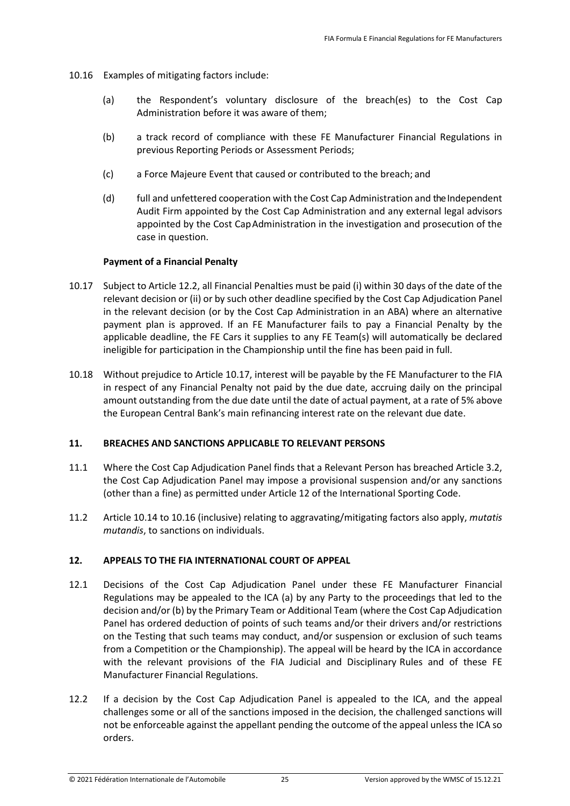- 10.16 Examples of mitigating factors include:
	- (a) the Respondent's voluntary disclosure of the breach(es) to the Cost Cap Administration before it was aware of them;
	- (b) a track record of compliance with these FE Manufacturer Financial Regulations in previous Reporting Periods or Assessment Periods;
	- (c) a Force Majeure Event that caused or contributed to the breach; and
	- (d) full and unfettered cooperation with the Cost Cap Administration and the Independent Audit Firm appointed by the Cost Cap Administration and any external legal advisors appointed by the Cost CapAdministration in the investigation and prosecution of the case in question.

## **Payment of a Financial Penalty**

- 10.17 Subject to Article 12.2, all Financial Penalties must be paid (i) within 30 days of the date of the relevant decision or (ii) or by such other deadline specified by the Cost Cap Adjudication Panel in the relevant decision (or by the Cost Cap Administration in an ABA) where an alternative payment plan is approved. If an FE Manufacturer fails to pay a Financial Penalty by the applicable deadline, the FE Cars it supplies to any FE Team(s) will automatically be declared ineligible for participation in the Championship until the fine has been paid in full.
- 10.18 Without prejudice to Article 10.17, interest will be payable by the FE Manufacturer to the FIA in respect of any Financial Penalty not paid by the due date, accruing daily on the principal amount outstanding from the due date until the date of actual payment, at a rate of 5% above the European Central Bank's main refinancing interest rate on the relevant due date.

## <span id="page-24-0"></span>**11. BREACHES AND SANCTIONS APPLICABLE TO RELEVANT PERSONS**

- 11.1 Where the Cost Cap Adjudication Panel finds that a Relevant Person has breached Article 3.2, the Cost Cap Adjudication Panel may impose a provisional suspension and/or any sanctions (other than a fine) as permitted under Article 12 of the International Sporting Code.
- 11.2 Article 10.14 to 10.16 (inclusive) relating to aggravating/mitigating factors also apply, *mutatis mutandis*, to sanctions on individuals.

# <span id="page-24-1"></span>**12. APPEALS TO THE FIA INTERNATIONAL COURT OF APPEAL**

- 12.1 Decisions of the Cost Cap Adjudication Panel under these FE Manufacturer Financial Regulations may be appealed to the ICA (a) by any Party to the proceedings that led to the decision and/or (b) by the Primary Team or Additional Team (where the Cost Cap Adjudication Panel has ordered deduction of points of such teams and/or their drivers and/or restrictions on the Testing that such teams may conduct, and/or suspension or exclusion of such teams from a Competition or the Championship). The appeal will be heard by the ICA in accordance with the relevant provisions of the FIA Judicial and Disciplinary Rules and of these FE Manufacturer Financial Regulations.
- 12.2 If a decision by the Cost Cap Adjudication Panel is appealed to the ICA, and the appeal challenges some or all of the sanctions imposed in the decision, the challenged sanctions will not be enforceable against the appellant pending the outcome of the appeal unless the ICA so orders.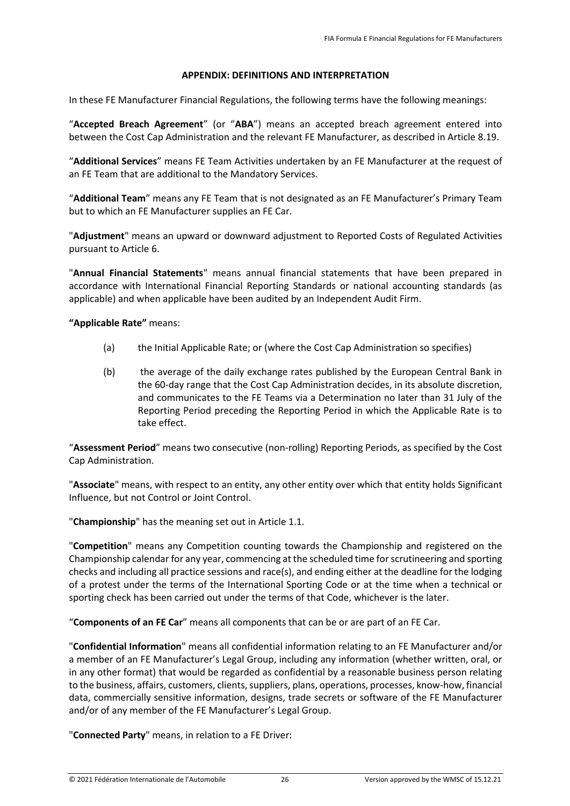## **APPENDIX: DEFINITIONS AND INTERPRETATION**

<span id="page-25-0"></span>In these FE Manufacturer Financial Regulations, the following terms have the following meanings:

"**Accepted Breach Agreement**" (or "**ABA**") means an accepted breach agreement entered into between the Cost Cap Administration and the relevant FE Manufacturer, as described in Article 8.19.

"**Additional Services**" means FE Team Activities undertaken by an FE Manufacturer at the request of an FE Team that are additional to the Mandatory Services.

"**Additional Team**" means any FE Team that is not designated as an FE Manufacturer's Primary Team but to which an FE Manufacturer supplies an FE Car.

"**Adjustment**" means an upward or downward adjustment to Reported Costs of Regulated Activities pursuant to Article 6.

"**Annual Financial Statements**" means annual financial statements that have been prepared in accordance with International Financial Reporting Standards or national accounting standards (as applicable) and when applicable have been audited by an Independent Audit Firm.

**"Applicable Rate"** means:

- (a) the Initial Applicable Rate; or (where the Cost Cap Administration so specifies)
- (b) the average of the daily exchange rates published by the European Central Bank in the 60-day range that the Cost Cap Administration decides, in its absolute discretion, and communicates to the FE Teams via a Determination no later than 31 July of the Reporting Period preceding the Reporting Period in which the Applicable Rate is to take effect.

"**Assessment Period**" means two consecutive (non-rolling) Reporting Periods, as specified by the Cost Cap Administration.

"**Associate**" means, with respect to an entity, any other entity over which that entity holds Significant Influence, but not Control or Joint Control.

"**Championship**" has the meaning set out in Article 1.1.

"**Competition**" means any Competition counting towards the Championship and registered on the Championship calendar for any year, commencing at the scheduled time for scrutineering and sporting checks and including all practice sessions and race(s), and ending either at the deadline for the lodging of a protest under the terms of the International Sporting Code or at the time when a technical or sporting check has been carried out under the terms of that Code, whichever is the later.

"**Components of an FE Car**" means all components that can be or are part of an FE Car.

"**Confidential Information**" means all confidential information relating to an FE Manufacturer and/or a member of an FE Manufacturer's Legal Group, including any information (whether written, oral, or in any other format) that would be regarded as confidential by a reasonable business person relating to the business, affairs, customers, clients, suppliers, plans, operations, processes, know-how, financial data, commercially sensitive information, designs, trade secrets or software of the FE Manufacturer and/or of any member of the FE Manufacturer's Legal Group.

"**Connected Party**" means, in relation to a FE Driver: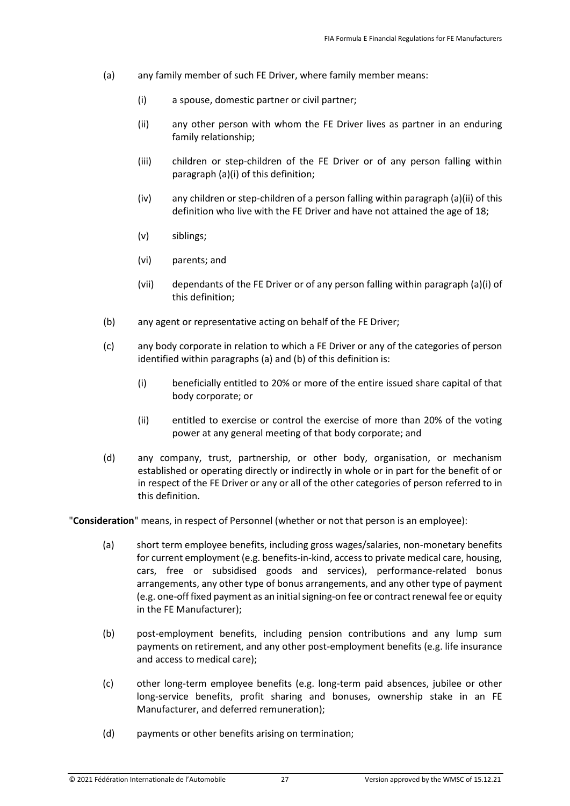- (a) any family member of such FE Driver, where family member means:
	- (i) a spouse, domestic partner or civil partner;
	- (ii) any other person with whom the FE Driver lives as partner in an enduring family relationship;
	- (iii) children or step-children of the FE Driver or of any person falling within paragraph (a)(i) of this definition;
	- (iv) any children or step-children of a person falling within paragraph (a)(ii) of this definition who live with the FE Driver and have not attained the age of 18;
	- (v) siblings;
	- (vi) parents; and
	- (vii) dependants of the FE Driver or of any person falling within paragraph (a)(i) of this definition;
- (b) any agent or representative acting on behalf of the FE Driver;
- (c) any body corporate in relation to which a FE Driver or any of the categories of person identified within paragraphs (a) and (b) of this definition is:
	- (i) beneficially entitled to 20% or more of the entire issued share capital of that body corporate; or
	- (ii) entitled to exercise or control the exercise of more than 20% of the voting power at any general meeting of that body corporate; and
- (d) any company, trust, partnership, or other body, organisation, or mechanism established or operating directly or indirectly in whole or in part for the benefit of or in respect of the FE Driver or any or all of the other categories of person referred to in this definition.

"**Consideration**" means, in respect of Personnel (whether or not that person is an employee):

- (a) short term employee benefits, including gross wages/salaries, non-monetary benefits for current employment (e.g. benefits-in-kind, access to private medical care, housing, cars, free or subsidised goods and services), performance-related bonus arrangements, any other type of bonus arrangements, and any other type of payment (e.g. one-off fixed payment as an initial signing-on fee or contract renewal fee or equity in the FE Manufacturer);
- (b) post-employment benefits, including pension contributions and any lump sum payments on retirement, and any other post-employment benefits (e.g. life insurance and access to medical care);
- (c) other long-term employee benefits (e.g. long-term paid absences, jubilee or other long-service benefits, profit sharing and bonuses, ownership stake in an FE Manufacturer, and deferred remuneration);
- (d) payments or other benefits arising on termination;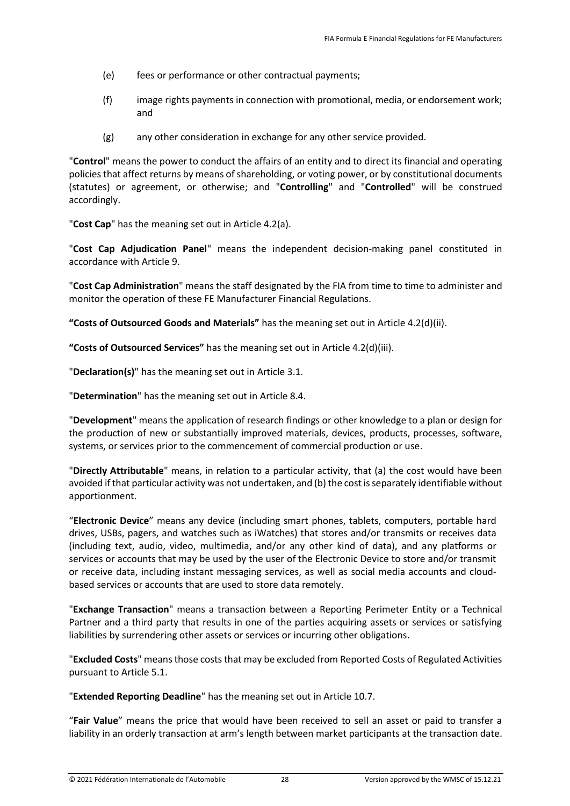- (e) fees or performance or other contractual payments;
- (f) image rights payments in connection with promotional, media, or endorsement work; and
- (g) any other consideration in exchange for any other service provided.

"**Control**" means the power to conduct the affairs of an entity and to direct its financial and operating policies that affect returns by means of shareholding, or voting power, or by constitutional documents (statutes) or agreement, or otherwise; and "**Controlling**" and "**Controlled**" will be construed accordingly.

"**Cost Cap**" has the meaning set out in Article 4.2(a).

"**Cost Cap Adjudication Panel**" means the independent decision-making panel constituted in accordance with Article 9.

"**Cost Cap Administration**" means the staff designated by the FIA from time to time to administer and monitor the operation of these FE Manufacturer Financial Regulations.

**"Costs of Outsourced Goods and Materials"** has the meaning set out in Article 4.2(d)(ii).

**"Costs of Outsourced Services"** has the meaning set out in Article 4.2(d)(iii).

"**Declaration(s)**" has the meaning set out in Article 3.1.

"**Determination**" has the meaning set out in Article 8.4.

"**Development**" means the application of research findings or other knowledge to a plan or design for the production of new or substantially improved materials, devices, products, processes, software, systems, or services prior to the commencement of commercial production or use.

"**Directly Attributable**" means, in relation to a particular activity, that (a) the cost would have been avoided if that particular activity was not undertaken, and (b) the cost is separately identifiable without apportionment.

"**Electronic Device**" means any device (including smart phones, tablets, computers, portable hard drives, USBs, pagers, and watches such as iWatches) that stores and/or transmits or receives data (including text, audio, video, multimedia, and/or any other kind of data), and any platforms or services or accounts that may be used by the user of the Electronic Device to store and/or transmit or receive data, including instant messaging services, as well as social media accounts and cloudbased services or accounts that are used to store data remotely.

"**Exchange Transaction**" means a transaction between a Reporting Perimeter Entity or a Technical Partner and a third party that results in one of the parties acquiring assets or services or satisfying liabilities by surrendering other assets or services or incurring other obligations.

"**Excluded Costs**" means those costs that may be excluded from Reported Costs of Regulated Activities pursuant to Article 5.1.

"**Extended Reporting Deadline**" has the meaning set out in Article 10.7.

"**Fair Value**" means the price that would have been received to sell an asset or paid to transfer a liability in an orderly transaction at arm's length between market participants at the transaction date.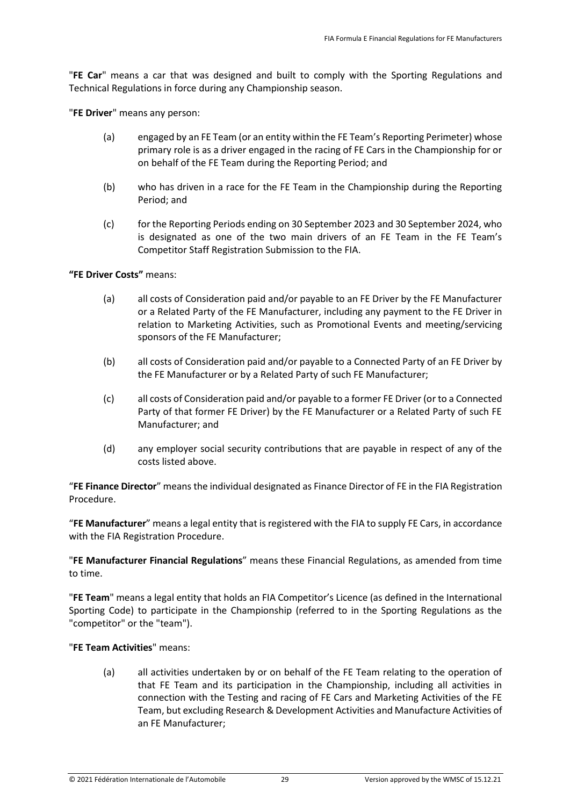"**FE Car**" means a car that was designed and built to comply with the Sporting Regulations and Technical Regulations in force during any Championship season.

"**FE Driver**" means any person:

- (a) engaged by an FE Team (or an entity within the FE Team's Reporting Perimeter) whose primary role is as a driver engaged in the racing of FE Cars in the Championship for or on behalf of the FE Team during the Reporting Period; and
- (b) who has driven in a race for the FE Team in the Championship during the Reporting Period; and
- (c) for the Reporting Periods ending on 30 September 2023 and 30 September 2024, who is designated as one of the two main drivers of an FE Team in the FE Team's Competitor Staff Registration Submission to the FIA.

**"FE Driver Costs"** means:

- (a) all costs of Consideration paid and/or payable to an FE Driver by the FE Manufacturer or a Related Party of the FE Manufacturer, including any payment to the FE Driver in relation to Marketing Activities, such as Promotional Events and meeting/servicing sponsors of the FE Manufacturer;
- (b) all costs of Consideration paid and/or payable to a Connected Party of an FE Driver by the FE Manufacturer or by a Related Party of such FE Manufacturer;
- (c) all costs of Consideration paid and/or payable to a former FE Driver (or to a Connected Party of that former FE Driver) by the FE Manufacturer or a Related Party of such FE Manufacturer; and
- (d) any employer social security contributions that are payable in respect of any of the costs listed above.

"**FE Finance Director**" means the individual designated as Finance Director of FE in the FIA Registration Procedure.

"**FE Manufacturer**" means a legal entity that is registered with the FIA to supply FE Cars, in accordance with the FIA Registration Procedure.

"**FE Manufacturer Financial Regulations**" means these Financial Regulations, as amended from time to time.

"**FE Team**" means a legal entity that holds an FIA Competitor's Licence (as defined in the International Sporting Code) to participate in the Championship (referred to in the Sporting Regulations as the "competitor" or the "team").

# "**FE Team Activities**" means:

(a) all activities undertaken by or on behalf of the FE Team relating to the operation of that FE Team and its participation in the Championship, including all activities in connection with the Testing and racing of FE Cars and Marketing Activities of the FE Team, but excluding Research & Development Activities and Manufacture Activities of an FE Manufacturer;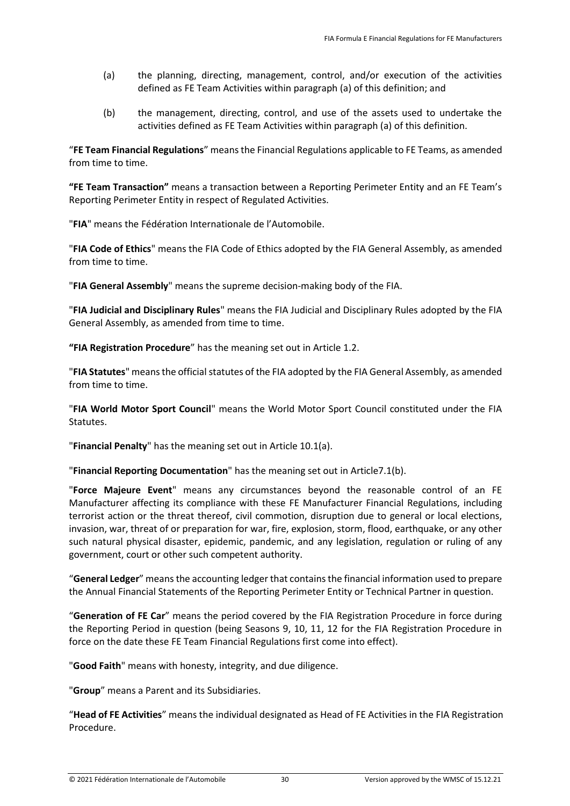- (a) the planning, directing, management, control, and/or execution of the activities defined as FE Team Activities within paragraph (a) of this definition; and
- (b) the management, directing, control, and use of the assets used to undertake the activities defined as FE Team Activities within paragraph (a) of this definition.

"**FE Team Financial Regulations**" means the Financial Regulations applicable to FE Teams, as amended from time to time.

**"FE Team Transaction"** means a transaction between a Reporting Perimeter Entity and an FE Team's Reporting Perimeter Entity in respect of Regulated Activities.

"**FIA**" means the Fédération Internationale de l'Automobile.

"**FIA Code of Ethics**" means the FIA Code of Ethics adopted by the FIA General Assembly, as amended from time to time.

"**FIA General Assembly**" means the supreme decision-making body of the FIA.

"**FIA Judicial and Disciplinary Rules**" means the FIA Judicial and Disciplinary Rules adopted by the FIA General Assembly, as amended from time to time.

**"FIA Registration Procedure**" has the meaning set out in Article 1.2.

"**FIA Statutes**" means the official statutes of the FIA adopted by the FIA General Assembly, as amended from time to time.

"**FIA World Motor Sport Council**" means the World Motor Sport Council constituted under the FIA Statutes.

"**Financial Penalty**" has the meaning set out in Article 10.1(a).

"**Financial Reporting Documentation**" has the meaning set out in Article7.1(b).

"**Force Majeure Event**" means any circumstances beyond the reasonable control of an FE Manufacturer affecting its compliance with these FE Manufacturer Financial Regulations, including terrorist action or the threat thereof, civil commotion, disruption due to general or local elections, invasion, war, threat of or preparation for war, fire, explosion, storm, flood, earthquake, or any other such natural physical disaster, epidemic, pandemic, and any legislation, regulation or ruling of any government, court or other such competent authority.

"**General Ledger**" means the accounting ledger that contains the financial information used to prepare the Annual Financial Statements of the Reporting Perimeter Entity or Technical Partner in question.

"**Generation of FE Car**" means the period covered by the FIA Registration Procedure in force during the Reporting Period in question (being Seasons 9, 10, 11, 12 for the FIA Registration Procedure in force on the date these FE Team Financial Regulations first come into effect).

"**Good Faith**" means with honesty, integrity, and due diligence.

"**Group**" means a Parent and its Subsidiaries.

"**Head of FE Activities**" means the individual designated as Head of FE Activities in the FIA Registration Procedure.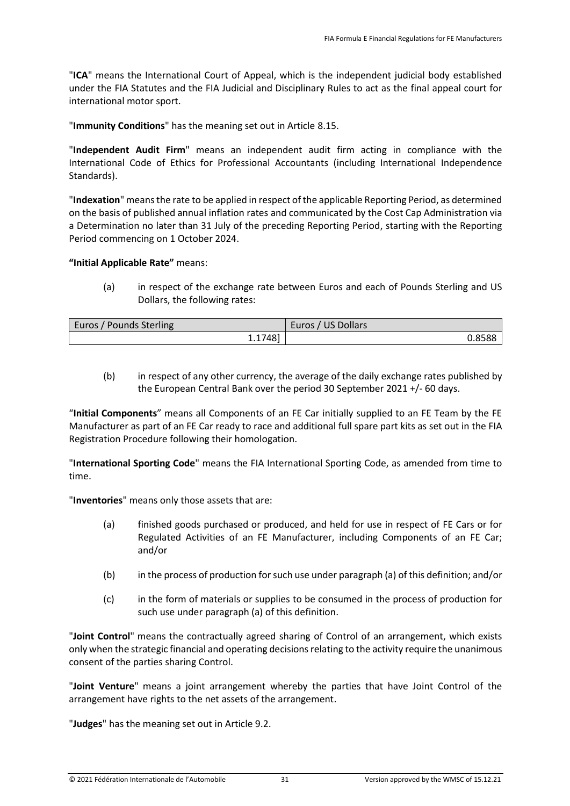"**ICA**" means the International Court of Appeal, which is the independent judicial body established under the FIA Statutes and the FIA Judicial and Disciplinary Rules to act as the final appeal court for international motor sport.

"**Immunity Conditions**" has the meaning set out in Article 8.15.

"**Independent Audit Firm**" means an independent audit firm acting in compliance with the International Code of Ethics for Professional Accountants (including International Independence Standards).

"**Indexation**" means the rate to be applied in respect of the applicable Reporting Period, as determined on the basis of published annual inflation rates and communicated by the Cost Cap Administration via a Determination no later than 31 July of the preceding Reporting Period, starting with the Reporting Period commencing on 1 October 2024.

**"Initial Applicable Rate"** means:

(a) in respect of the exchange rate between Euros and each of Pounds Sterling and US Dollars, the following rates:

| Euros / Pounds Sterling | Euros / US Dollars |
|-------------------------|--------------------|
| 1.1748]                 | 0.8588             |

(b) in respect of any other currency, the average of the daily exchange rates published by the European Central Bank over the period 30 September 2021 +/- 60 days.

"**Initial Components**" means all Components of an FE Car initially supplied to an FE Team by the FE Manufacturer as part of an FE Car ready to race and additional full spare part kits as set out in the FIA Registration Procedure following their homologation.

"**International Sporting Code**" means the FIA International Sporting Code, as amended from time to time.

"**Inventories**" means only those assets that are:

- (a) finished goods purchased or produced, and held for use in respect of FE Cars or for Regulated Activities of an FE Manufacturer, including Components of an FE Car; and/or
- (b) in the process of production for such use under paragraph (a) of this definition; and/or
- (c) in the form of materials or supplies to be consumed in the process of production for such use under paragraph (a) of this definition.

"**Joint Control**" means the contractually agreed sharing of Control of an arrangement, which exists only when the strategic financial and operating decisions relating to the activity require the unanimous consent of the parties sharing Control.

"**Joint Venture**" means a joint arrangement whereby the parties that have Joint Control of the arrangement have rights to the net assets of the arrangement.

"**Judges**" has the meaning set out in Article 9.2.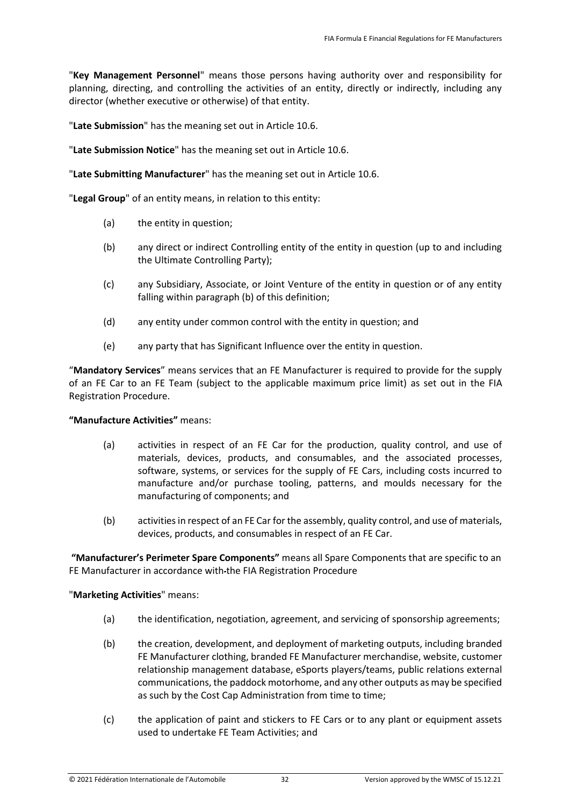"**Key Management Personnel**" means those persons having authority over and responsibility for planning, directing, and controlling the activities of an entity, directly or indirectly, including any director (whether executive or otherwise) of that entity.

"**Late Submission**" has the meaning set out in Article 10.6.

"**Late Submission Notice**" has the meaning set out in Article 10.6.

"**Late Submitting Manufacturer**" has the meaning set out in Article 10.6.

"**Legal Group**" of an entity means, in relation to this entity:

- (a) the entity in question;
- (b) any direct or indirect Controlling entity of the entity in question (up to and including the Ultimate Controlling Party);
- (c) any Subsidiary, Associate, or Joint Venture of the entity in question or of any entity falling within paragraph (b) of this definition;
- (d) any entity under common control with the entity in question; and
- (e) any party that has Significant Influence over the entity in question.

"**Mandatory Services**" means services that an FE Manufacturer is required to provide for the supply of an FE Car to an FE Team (subject to the applicable maximum price limit) as set out in the FIA Registration Procedure.

# **"Manufacture Activities"** means:

- (a) activities in respect of an FE Car for the production, quality control, and use of materials, devices, products, and consumables, and the associated processes, software, systems, or services for the supply of FE Cars, including costs incurred to manufacture and/or purchase tooling, patterns, and moulds necessary for the manufacturing of components; and
- (b) activities in respect of an FE Car for the assembly, quality control, and use of materials, devices, products, and consumables in respect of an FE Car.

**"Manufacturer's Perimeter Spare Components"** means all Spare Components that are specific to an FE Manufacturer in accordance with the FIA Registration Procedure

# "**Marketing Activities**" means:

- (a) the identification, negotiation, agreement, and servicing of sponsorship agreements;
- (b) the creation, development, and deployment of marketing outputs, including branded FE Manufacturer clothing, branded FE Manufacturer merchandise, website, customer relationship management database, eSports players/teams, public relations external communications, the paddock motorhome, and any other outputs as may be specified as such by the Cost Cap Administration from time to time;
- (c) the application of paint and stickers to FE Cars or to any plant or equipment assets used to undertake FE Team Activities; and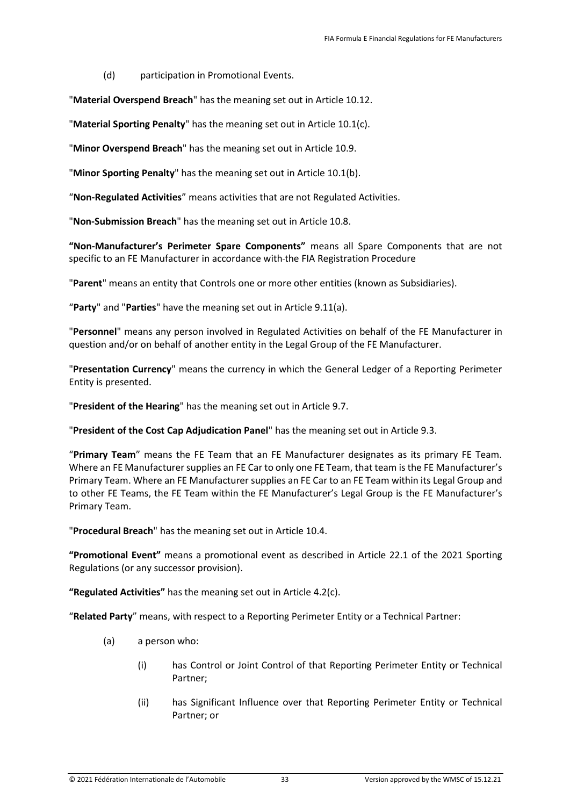(d) participation in Promotional Events.

"**Material Overspend Breach**" has the meaning set out in Article 10.12.

"**Material Sporting Penalty**" has the meaning set out in Article 10.1(c).

"**Minor Overspend Breach**" has the meaning set out in Article 10.9.

"**Minor Sporting Penalty**" has the meaning set out in Article 10.1(b).

"**Non-Regulated Activities**" means activities that are not Regulated Activities.

"**Non-Submission Breach**" has the meaning set out in Article 10.8.

**"Non-Manufacturer's Perimeter Spare Components"** means all Spare Components that are not specific to an FE Manufacturer in accordance with the FIA Registration Procedure

"**Parent**" means an entity that Controls one or more other entities (known as Subsidiaries).

"**Party**" and "**Parties**" have the meaning set out in Article 9.11(a).

"**Personnel**" means any person involved in Regulated Activities on behalf of the FE Manufacturer in question and/or on behalf of another entity in the Legal Group of the FE Manufacturer.

"**Presentation Currency**" means the currency in which the General Ledger of a Reporting Perimeter Entity is presented.

"**President of the Hearing**" has the meaning set out in Article 9.7.

"**President of the Cost Cap Adjudication Panel**" has the meaning set out in Article 9.3.

"**Primary Team**" means the FE Team that an FE Manufacturer designates as its primary FE Team. Where an FE Manufacturer supplies an FE Car to only one FE Team, that team is the FE Manufacturer's Primary Team. Where an FE Manufacturer supplies an FE Car to an FE Team within its Legal Group and to other FE Teams, the FE Team within the FE Manufacturer's Legal Group is the FE Manufacturer's Primary Team.

"**Procedural Breach**" has the meaning set out in Article 10.4.

**"Promotional Event"** means a promotional event as described in Article 22.1 of the 2021 Sporting Regulations (or any successor provision).

**"Regulated Activities"** has the meaning set out in Article 4.2(c).

"**Related Party**" means, with respect to a Reporting Perimeter Entity or a Technical Partner:

- (a) a person who:
	- (i) has Control or Joint Control of that Reporting Perimeter Entity or Technical Partner;
	- (ii) has Significant Influence over that Reporting Perimeter Entity or Technical Partner; or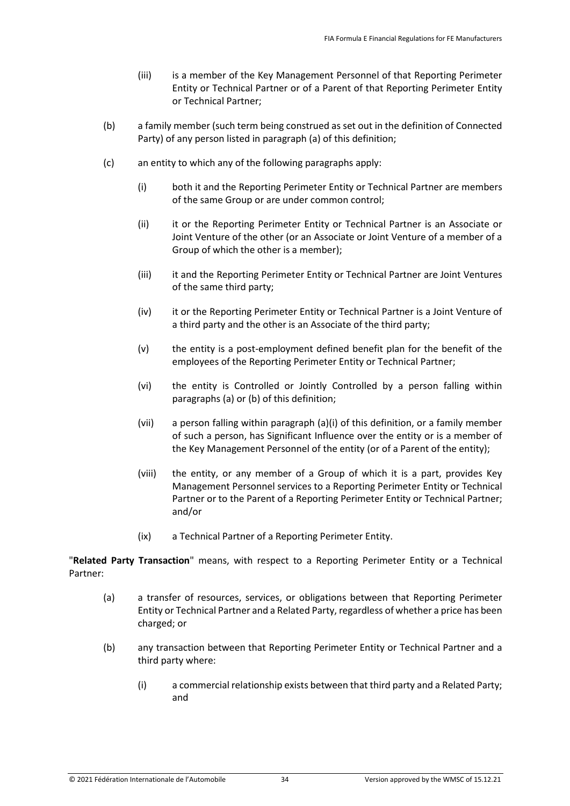- (iii) is a member of the Key Management Personnel of that Reporting Perimeter Entity or Technical Partner or of a Parent of that Reporting Perimeter Entity or Technical Partner;
- (b) a family member (such term being construed as set out in the definition of Connected Party) of any person listed in paragraph (a) of this definition;
- (c) an entity to which any of the following paragraphs apply:
	- (i) both it and the Reporting Perimeter Entity or Technical Partner are members of the same Group or are under common control;
	- (ii) it or the Reporting Perimeter Entity or Technical Partner is an Associate or Joint Venture of the other (or an Associate or Joint Venture of a member of a Group of which the other is a member);
	- (iii) it and the Reporting Perimeter Entity or Technical Partner are Joint Ventures of the same third party;
	- (iv) it or the Reporting Perimeter Entity or Technical Partner is a Joint Venture of a third party and the other is an Associate of the third party;
	- (v) the entity is a post-employment defined benefit plan for the benefit of the employees of the Reporting Perimeter Entity or Technical Partner;
	- (vi) the entity is Controlled or Jointly Controlled by a person falling within paragraphs (a) or (b) of this definition;
	- (vii) a person falling within paragraph (a)(i) of this definition, or a family member of such a person, has Significant Influence over the entity or is a member of the Key Management Personnel of the entity (or of a Parent of the entity);
	- (viii) the entity, or any member of a Group of which it is a part, provides Key Management Personnel services to a Reporting Perimeter Entity or Technical Partner or to the Parent of a Reporting Perimeter Entity or Technical Partner; and/or
	- (ix) a Technical Partner of a Reporting Perimeter Entity.

"**Related Party Transaction**" means, with respect to a Reporting Perimeter Entity or a Technical Partner:

- (a) a transfer of resources, services, or obligations between that Reporting Perimeter Entity or Technical Partner and a Related Party, regardless of whether a price has been charged; or
- (b) any transaction between that Reporting Perimeter Entity or Technical Partner and a third party where:
	- (i) a commercial relationship exists between that third party and a Related Party; and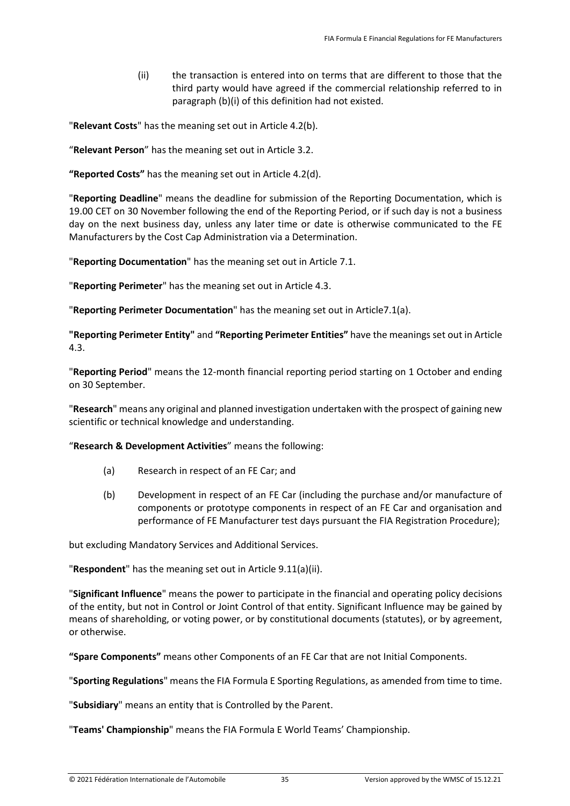(ii) the transaction is entered into on terms that are different to those that the third party would have agreed if the commercial relationship referred to in paragraph (b)(i) of this definition had not existed.

"**Relevant Costs**" has the meaning set out in Article 4.2(b).

"**Relevant Person**" has the meaning set out in Article 3.2.

**"Reported Costs"** has the meaning set out in Article 4.2(d).

"**Reporting Deadline**" means the deadline for submission of the Reporting Documentation, which is 19.00 CET on 30 November following the end of the Reporting Period, or if such day is not a business day on the next business day, unless any later time or date is otherwise communicated to the FE Manufacturers by the Cost Cap Administration via a Determination.

"**Reporting Documentation**" has the meaning set out in Article 7.1.

"**Reporting Perimeter**" has the meaning set out in Article 4.3.

"**Reporting Perimeter Documentation**" has the meaning set out in Article7.1(a).

**"Reporting Perimeter Entity"** and **"Reporting Perimeter Entities"** have the meanings set out in Article 4.3.

"**Reporting Period**" means the 12-month financial reporting period starting on 1 October and ending on 30 September.

"**Research**" means any original and planned investigation undertaken with the prospect of gaining new scientific or technical knowledge and understanding.

"**Research & Development Activities**" means the following:

- (a) Research in respect of an FE Car; and
- (b) Development in respect of an FE Car (including the purchase and/or manufacture of components or prototype components in respect of an FE Car and organisation and performance of FE Manufacturer test days pursuant the FIA Registration Procedure);

but excluding Mandatory Services and Additional Services.

"**Respondent**" has the meaning set out in Article 9.11(a)(ii).

"**Significant Influence**" means the power to participate in the financial and operating policy decisions of the entity, but not in Control or Joint Control of that entity. Significant Influence may be gained by means of shareholding, or voting power, or by constitutional documents (statutes), or by agreement, or otherwise.

**"Spare Components"** means other Components of an FE Car that are not Initial Components.

"**Sporting Regulations**" means the FIA Formula E Sporting Regulations, as amended from time to time.

"**Subsidiary**" means an entity that is Controlled by the Parent.

"**Teams' Championship**" means the FIA Formula E World Teams' Championship.